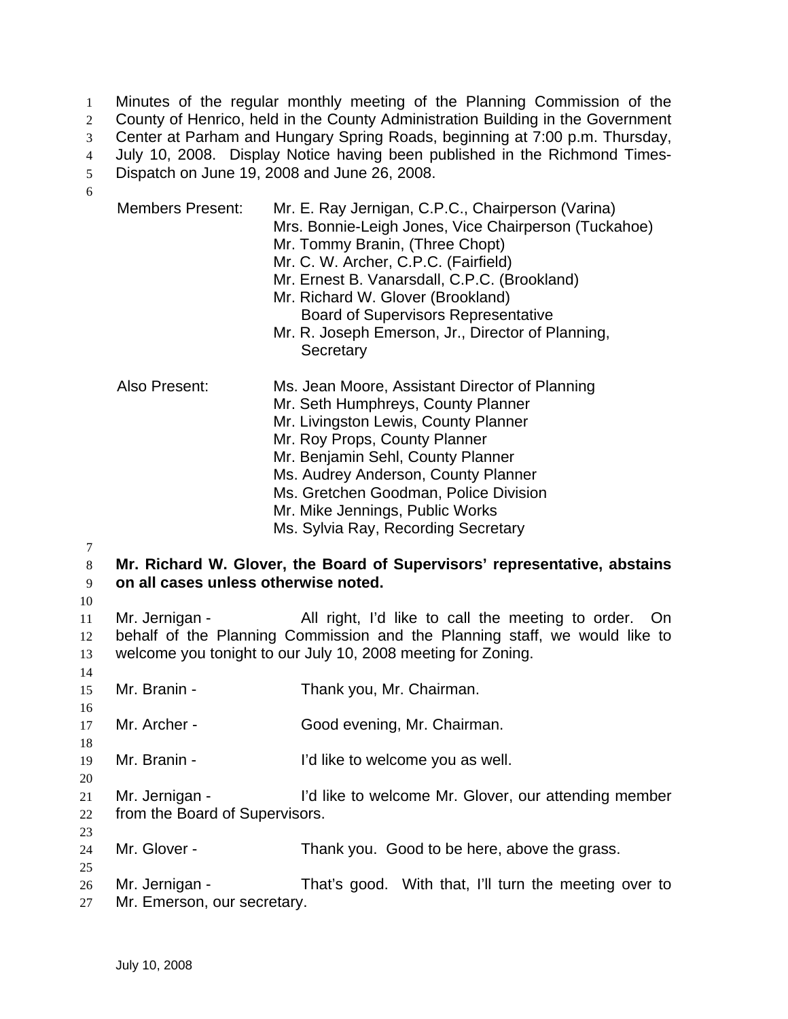Minutes of the regular monthly meeting of the Planning Commission of the County of Henrico, held in the County Administration Building in the Government Center at Parham and Hungary Spring Roads, beginning at 7:00 p.m. Thursday, July 10, 2008. Display Notice having been published in the Richmond Times-Dispatch on June 19, 2008 and June 26, 2008. 1 2 3 4 5 6

|                                                  | <b>Members Present:</b>                                                                                           | Mr. E. Ray Jernigan, C.P.C., Chairperson (Varina)<br>Mrs. Bonnie-Leigh Jones, Vice Chairperson (Tuckahoe)<br>Mr. Tommy Branin, (Three Chopt)<br>Mr. C. W. Archer, C.P.C. (Fairfield)<br>Mr. Ernest B. Vanarsdall, C.P.C. (Brookland)<br>Mr. Richard W. Glover (Brookland)<br><b>Board of Supervisors Representative</b><br>Mr. R. Joseph Emerson, Jr., Director of Planning,<br>Secretary |  |
|--------------------------------------------------|-------------------------------------------------------------------------------------------------------------------|-------------------------------------------------------------------------------------------------------------------------------------------------------------------------------------------------------------------------------------------------------------------------------------------------------------------------------------------------------------------------------------------|--|
|                                                  | Also Present:                                                                                                     | Ms. Jean Moore, Assistant Director of Planning<br>Mr. Seth Humphreys, County Planner<br>Mr. Livingston Lewis, County Planner<br>Mr. Roy Props, County Planner<br>Mr. Benjamin Sehl, County Planner<br>Ms. Audrey Anderson, County Planner<br>Ms. Gretchen Goodman, Police Division<br>Mr. Mike Jennings, Public Works<br>Ms. Sylvia Ray, Recording Secretary                              |  |
| 7<br>$8\phantom{.}$<br>9<br>10<br>11<br>12<br>13 | Mr. Richard W. Glover, the Board of Supervisors' representative, abstains<br>on all cases unless otherwise noted. |                                                                                                                                                                                                                                                                                                                                                                                           |  |
|                                                  | Mr. Jernigan -                                                                                                    | All right, I'd like to call the meeting to order. On<br>behalf of the Planning Commission and the Planning staff, we would like to<br>welcome you tonight to our July 10, 2008 meeting for Zoning.                                                                                                                                                                                        |  |
| 14<br>15                                         | Mr. Branin -                                                                                                      | Thank you, Mr. Chairman.                                                                                                                                                                                                                                                                                                                                                                  |  |
| 16<br>17                                         | Mr. Archer -                                                                                                      | Good evening, Mr. Chairman.                                                                                                                                                                                                                                                                                                                                                               |  |
| 18<br>19                                         | Mr. Branin -                                                                                                      | I'd like to welcome you as well.                                                                                                                                                                                                                                                                                                                                                          |  |
| 20<br>21<br>22                                   | Mr. Jernigan -<br>from the Board of Supervisors.                                                                  | I'd like to welcome Mr. Glover, our attending member                                                                                                                                                                                                                                                                                                                                      |  |
| 23<br>24                                         | Mr. Glover -                                                                                                      | Thank you. Good to be here, above the grass.                                                                                                                                                                                                                                                                                                                                              |  |
| 25<br>26<br>27                                   | Mr. Jernigan -<br>Mr. Emerson, our secretary.                                                                     | That's good. With that, I'll turn the meeting over to                                                                                                                                                                                                                                                                                                                                     |  |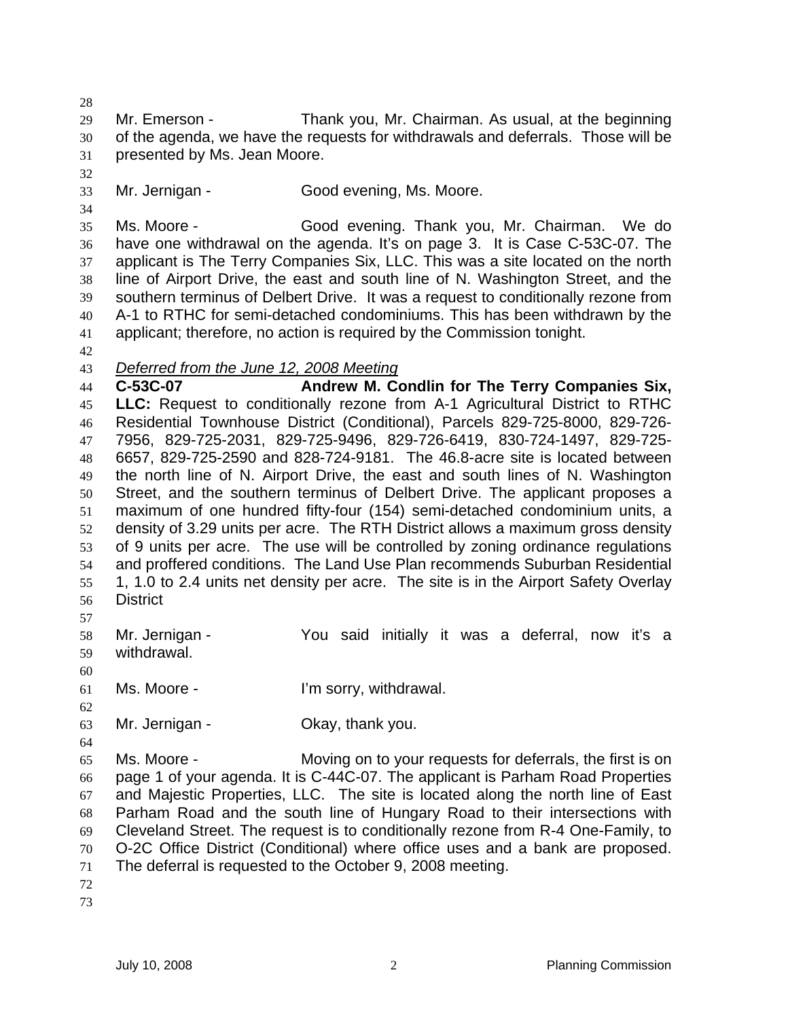29 30 31 Mr. Emerson - Thank you, Mr. Chairman. As usual, at the beginning of the agenda, we have the requests for withdrawals and deferrals. Those will be presented by Ms. Jean Moore.

32

34

28

33 Mr. Jernigan - Good evening, Ms. Moore.

35 36 37 38 39 40 41 Ms. Moore - Good evening. Thank you, Mr. Chairman. We do have one withdrawal on the agenda. It's on page 3. It is Case C-53C-07. The applicant is The Terry Companies Six, LLC. This was a site located on the north line of Airport Drive, the east and south line of N. Washington Street, and the southern terminus of Delbert Drive. It was a request to conditionally rezone from A-1 to RTHC for semi-detached condominiums. This has been withdrawn by the applicant; therefore, no action is required by the Commission tonight.

- 42
- 43 *Deferred from the June 12, 2008 Meeting*

44 45 46 47 48 49 50 51 52 53 54 55 56 **C-53C-07 Andrew M. Condlin for The Terry Companies Six, LLC:** Request to conditionally rezone from A-1 Agricultural District to RTHC Residential Townhouse District (Conditional), Parcels 829-725-8000, 829-726- 7956, 829-725-2031, 829-725-9496, 829-726-6419, 830-724-1497, 829-725- 6657, 829-725-2590 and 828-724-9181. The 46.8-acre site is located between the north line of N. Airport Drive, the east and south lines of N. Washington Street, and the southern terminus of Delbert Drive. The applicant proposes a maximum of one hundred fifty-four (154) semi-detached condominium units, a density of 3.29 units per acre. The RTH District allows a maximum gross density of 9 units per acre. The use will be controlled by zoning ordinance regulations and proffered conditions. The Land Use Plan recommends Suburban Residential 1, 1.0 to 2.4 units net density per acre. The site is in the Airport Safety Overlay **District** 

57

58 59 Mr. Jernigan - The You said initially it was a deferral, now it's a withdrawal.

60

61 Ms. Moore - The Telling Corry, withdrawal.

- 62
- 63 Mr. Jernigan - Ckay, thank you.
- 64

65 66 67 68 69 70 71 Ms. Moore - Moving on to your requests for deferrals, the first is on page 1 of your agenda. It is C-44C-07. The applicant is Parham Road Properties and Majestic Properties, LLC. The site is located along the north line of East Parham Road and the south line of Hungary Road to their intersections with Cleveland Street. The request is to conditionally rezone from R-4 One-Family, to O-2C Office District (Conditional) where office uses and a bank are proposed. The deferral is requested to the October 9, 2008 meeting.

- 72
- 73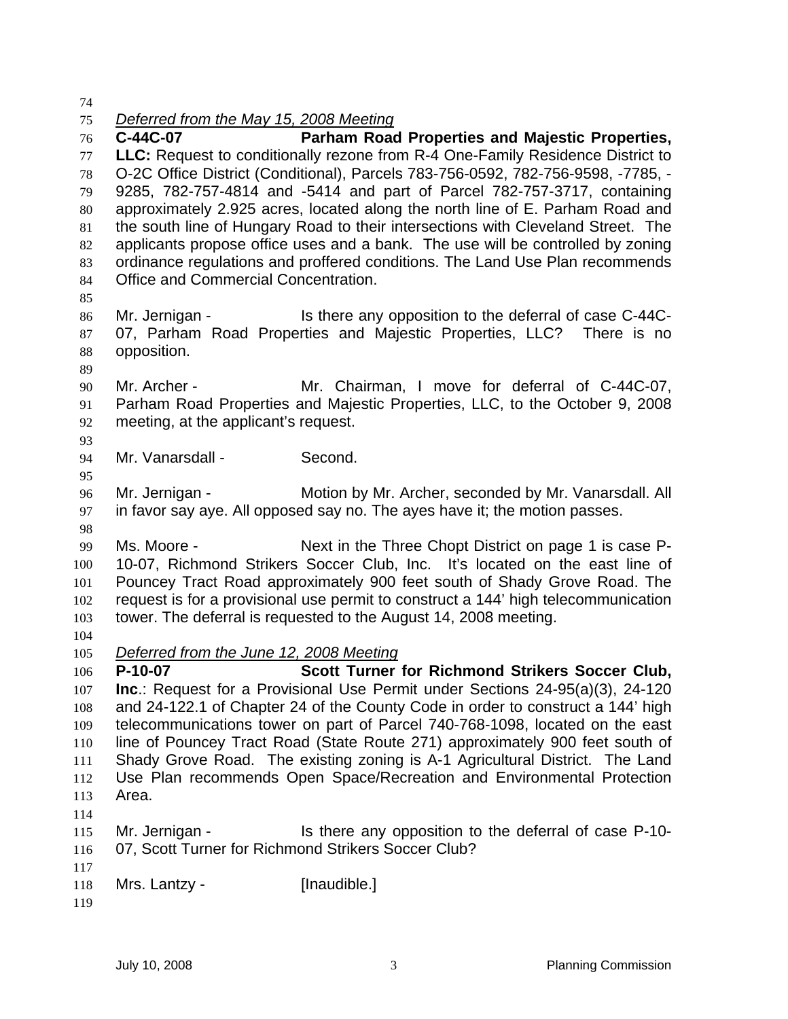74

## 75 *Deferred from the May 15, 2008 Meeting*

76 77 78 79 80 81 82 83 84 85 86 87 88 89 90 91 92 93 94 95 96 97 98 99 100 101 102 103 104 **C-44C-07 Parham Road Properties and Majestic Properties, LLC:** Request to conditionally rezone from R-4 One-Family Residence District to O-2C Office District (Conditional), Parcels 783-756-0592, 782-756-9598, -7785, - 9285, 782-757-4814 and -5414 and part of Parcel 782-757-3717, containing approximately 2.925 acres, located along the north line of E. Parham Road and the south line of Hungary Road to their intersections with Cleveland Street. The applicants propose office uses and a bank. The use will be controlled by zoning ordinance regulations and proffered conditions. The Land Use Plan recommends Office and Commercial Concentration. Mr. Jernigan - Is there any opposition to the deferral of case C-44C-07, Parham Road Properties and Majestic Properties, LLC? There is no opposition. Mr. Archer - Mr. Chairman, I move for deferral of C-44C-07, Parham Road Properties and Majestic Properties, LLC, to the October 9, 2008 meeting, at the applicant's request. Mr. Vanarsdall - Second. Mr. Jernigan - **Motion by Mr. Archer, seconded by Mr. Vanarsdall. All** in favor say aye. All opposed say no. The ayes have it; the motion passes. Ms. Moore - Next in the Three Chopt District on page 1 is case P-10-07, Richmond Strikers Soccer Club, Inc. It's located on the east line of Pouncey Tract Road approximately 900 feet south of Shady Grove Road. The request is for a provisional use permit to construct a 144' high telecommunication tower. The deferral is requested to the August 14, 2008 meeting. 105 *Deferred from the June 12, 2008 Meeting* 106 107 108 109 110 111 112 113 114 115 116 117 118 **P-10-07 Scott Turner for Richmond Strikers Soccer Club, Inc**.: Request for a Provisional Use Permit under Sections 24-95(a)(3), 24-120 and 24-122.1 of Chapter 24 of the County Code in order to construct a 144' high telecommunications tower on part of Parcel 740-768-1098, located on the east line of Pouncey Tract Road (State Route 271) approximately 900 feet south of Shady Grove Road. The existing zoning is A-1 Agricultural District. The Land Use Plan recommends Open Space/Recreation and Environmental Protection Area. Mr. Jernigan - The Is there any opposition to the deferral of case P-10-07, Scott Turner for Richmond Strikers Soccer Club? Mrs. Lantzy - [Inaudible.]

119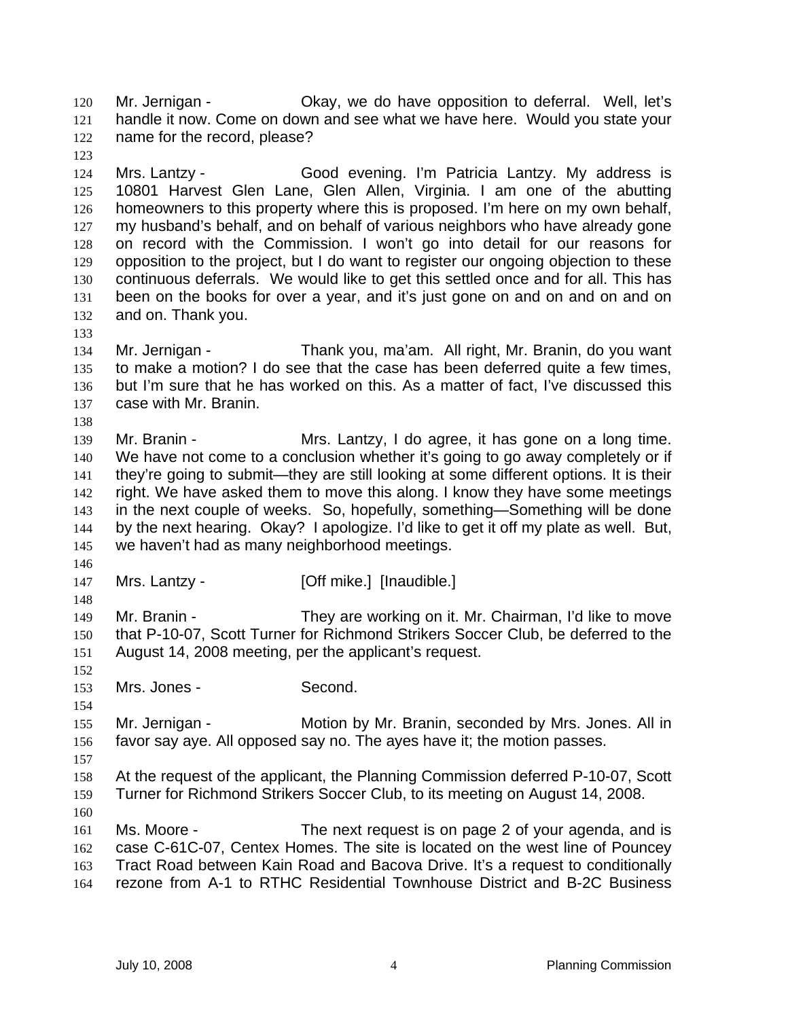Mr. Jernigan - Okay, we do have opposition to deferral. Well, let's handle it now. Come on down and see what we have here. Would you state your name for the record, please? 120 121 122

124 125 126 127 128 129 130 131 132 Mrs. Lantzy - Good evening. I'm Patricia Lantzy. My address is 10801 Harvest Glen Lane, Glen Allen, Virginia. I am one of the abutting homeowners to this property where this is proposed. I'm here on my own behalf, my husband's behalf, and on behalf of various neighbors who have already gone on record with the Commission. I won't go into detail for our reasons for opposition to the project, but I do want to register our ongoing objection to these continuous deferrals. We would like to get this settled once and for all. This has been on the books for over a year, and it's just gone on and on and on and on and on. Thank you.

134 135 136 137 Mr. Jernigan - Thank you, ma'am. All right, Mr. Branin, do you want to make a motion? I do see that the case has been deferred quite a few times, but I'm sure that he has worked on this. As a matter of fact, I've discussed this case with Mr. Branin.

139 140 141 142 143 144 145 Mr. Branin - Mrs. Lantzy, I do agree, it has gone on a long time. We have not come to a conclusion whether it's going to go away completely or if they're going to submit—they are still looking at some different options. It is their right. We have asked them to move this along. I know they have some meetings in the next couple of weeks. So, hopefully, something—Something will be done by the next hearing. Okay? I apologize. I'd like to get it off my plate as well. But, we haven't had as many neighborhood meetings.

146

148

152

154

123

133

138

147 Mrs. Lantzy - [Off mike.] [Inaudible.]

149 150 151 Mr. Branin - They are working on it. Mr. Chairman, I'd like to move that P-10-07, Scott Turner for Richmond Strikers Soccer Club, be deferred to the August 14, 2008 meeting, per the applicant's request.

153 Mrs. Jones - Second.

155 156 Mr. Jernigan - Motion by Mr. Branin, seconded by Mrs. Jones. All in favor say aye. All opposed say no. The ayes have it; the motion passes.

158 159 At the request of the applicant, the Planning Commission deferred P-10-07, Scott Turner for Richmond Strikers Soccer Club, to its meeting on August 14, 2008.

160

157

161 162 163 164 Ms. Moore - The next request is on page 2 of your agenda, and is case C-61C-07, Centex Homes. The site is located on the west line of Pouncey Tract Road between Kain Road and Bacova Drive. It's a request to conditionally rezone from A-1 to RTHC Residential Townhouse District and B-2C Business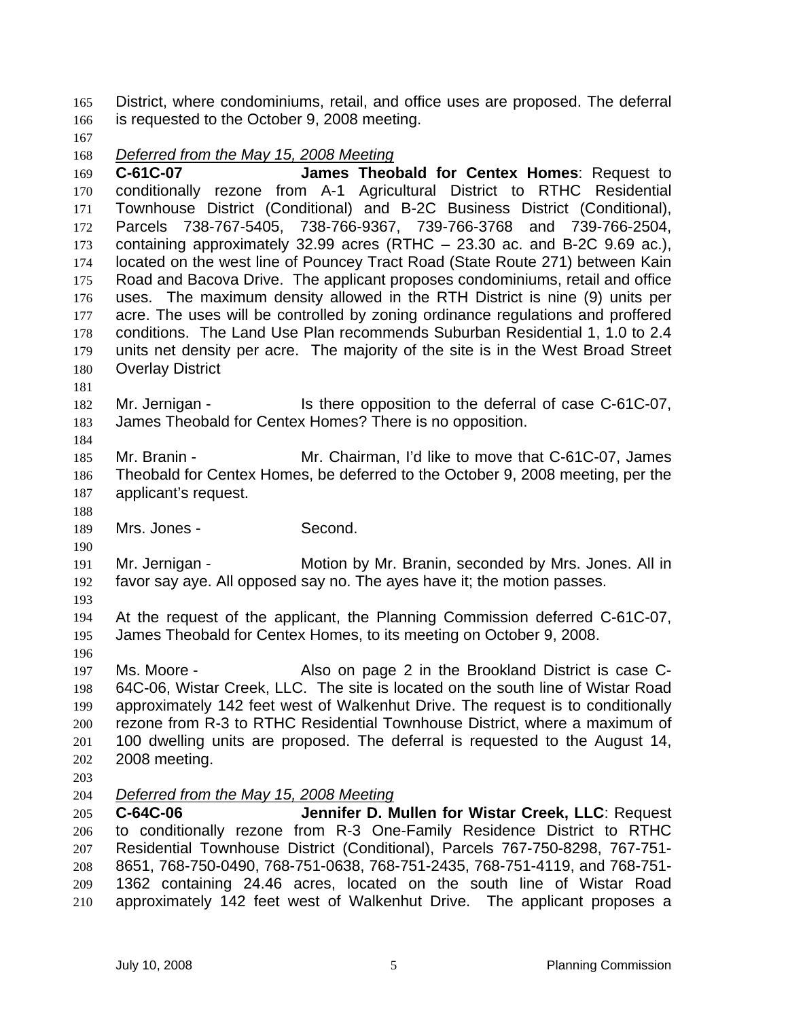District, where condominiums, retail, and office uses are proposed. The deferral is requested to the October 9, 2008 meeting. 165 166

167

## 168 *Deferred from the May 15, 2008 Meeting*

169 170 171 172 173 174 175 176 177 178 179 180 **C-61C-07 James Theobald for Centex Homes**: Request to conditionally rezone from A-1 Agricultural District to RTHC Residential Townhouse District (Conditional) and B-2C Business District (Conditional), Parcels 738-767-5405, 738-766-9367, 739-766-3768 and 739-766-2504, containing approximately 32.99 acres (RTHC – 23.30 ac. and B-2C 9.69 ac.), located on the west line of Pouncey Tract Road (State Route 271) between Kain Road and Bacova Drive. The applicant proposes condominiums, retail and office uses. The maximum density allowed in the RTH District is nine (9) units per acre. The uses will be controlled by zoning ordinance regulations and proffered conditions. The Land Use Plan recommends Suburban Residential 1, 1.0 to 2.4 units net density per acre. The majority of the site is in the West Broad Street Overlay District

181

184

182 183 Mr. Jernigan - Is there opposition to the deferral of case C-61C-07, James Theobald for Centex Homes? There is no opposition.

185 186 187 Mr. Branin - Mr. Chairman, I'd like to move that C-61C-07, James Theobald for Centex Homes, be deferred to the October 9, 2008 meeting, per the applicant's request.

188

190

189 Mrs. Jones - Second.

191 192 Mr. Jernigan - Motion by Mr. Branin, seconded by Mrs. Jones. All in favor say aye. All opposed say no. The ayes have it; the motion passes.

193

196

194 195 At the request of the applicant, the Planning Commission deferred C-61C-07, James Theobald for Centex Homes, to its meeting on October 9, 2008.

197 198 199 200 201 202 Ms. Moore - Also on page 2 in the Brookland District is case C-64C-06, Wistar Creek, LLC. The site is located on the south line of Wistar Road approximately 142 feet west of Walkenhut Drive. The request is to conditionally rezone from R-3 to RTHC Residential Townhouse District, where a maximum of 100 dwelling units are proposed. The deferral is requested to the August 14, 2008 meeting.

203

## 204 *Deferred from the May 15, 2008 Meeting*

205 206 207 208 209 210 **C-64C-06 Jennifer D. Mullen for Wistar Creek, LLC**: Request to conditionally rezone from R-3 One-Family Residence District to RTHC Residential Townhouse District (Conditional), Parcels 767-750-8298, 767-751- 8651, 768-750-0490, 768-751-0638, 768-751-2435, 768-751-4119, and 768-751- 1362 containing 24.46 acres, located on the south line of Wistar Road approximately 142 feet west of Walkenhut Drive. The applicant proposes a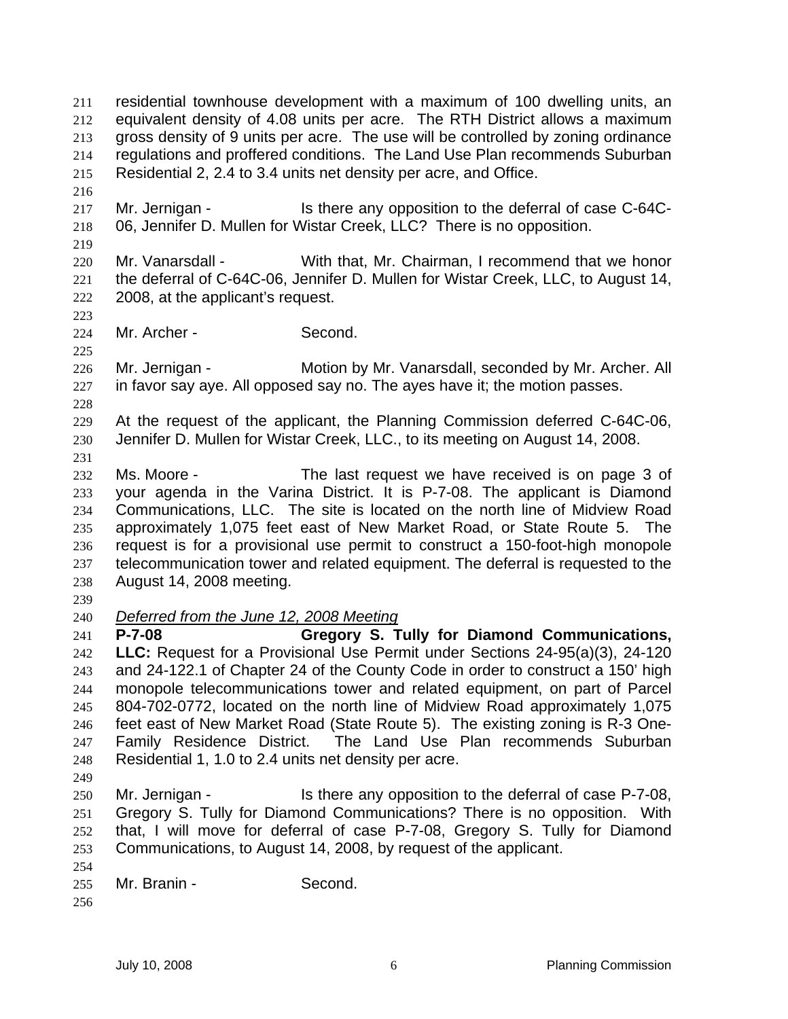residential townhouse development with a maximum of 100 dwelling units, an equivalent density of 4.08 units per acre. The RTH District allows a maximum gross density of 9 units per acre. The use will be controlled by zoning ordinance regulations and proffered conditions. The Land Use Plan recommends Suburban Residential 2, 2.4 to 3.4 units net density per acre, and Office. 211 212 213 214 215 216 217 218 219 220 221 222 223 224 225 226 227 228 229 230 231 232 233 234 235 236 237 238 239 Mr. Jernigan - Is there any opposition to the deferral of case C-64C-06, Jennifer D. Mullen for Wistar Creek, LLC? There is no opposition. Mr. Vanarsdall - With that, Mr. Chairman, I recommend that we honor the deferral of C-64C-06, Jennifer D. Mullen for Wistar Creek, LLC, to August 14, 2008, at the applicant's request. Mr. Archer - Second. Mr. Jernigan - Motion by Mr. Vanarsdall, seconded by Mr. Archer. All in favor say aye. All opposed say no. The ayes have it; the motion passes. At the request of the applicant, the Planning Commission deferred C-64C-06, Jennifer D. Mullen for Wistar Creek, LLC., to its meeting on August 14, 2008. Ms. Moore - The last request we have received is on page 3 of your agenda in the Varina District. It is P-7-08. The applicant is Diamond Communications, LLC. The site is located on the north line of Midview Road approximately 1,075 feet east of New Market Road, or State Route 5. The request is for a provisional use permit to construct a 150-foot-high monopole telecommunication tower and related equipment. The deferral is requested to the August 14, 2008 meeting. 240 *Deferred from the June 12, 2008 Meeting* 241 242 243 244 245 246 247 248 249 250 251 252 253 254 255 256 **P-7-08 Gregory S. Tully for Diamond Communications, LLC:** Request for a Provisional Use Permit under Sections 24-95(a)(3), 24-120 and 24-122.1 of Chapter 24 of the County Code in order to construct a 150' high monopole telecommunications tower and related equipment, on part of Parcel 804-702-0772, located on the north line of Midview Road approximately 1,075 feet east of New Market Road (State Route 5). The existing zoning is R-3 One-Family Residence District. The Land Use Plan recommends Suburban Residential 1, 1.0 to 2.4 units net density per acre. Mr. Jernigan - Is there any opposition to the deferral of case P-7-08, Gregory S. Tully for Diamond Communications? There is no opposition. With that, I will move for deferral of case P-7-08, Gregory S. Tully for Diamond Communications, to August 14, 2008, by request of the applicant. Mr. Branin - Second.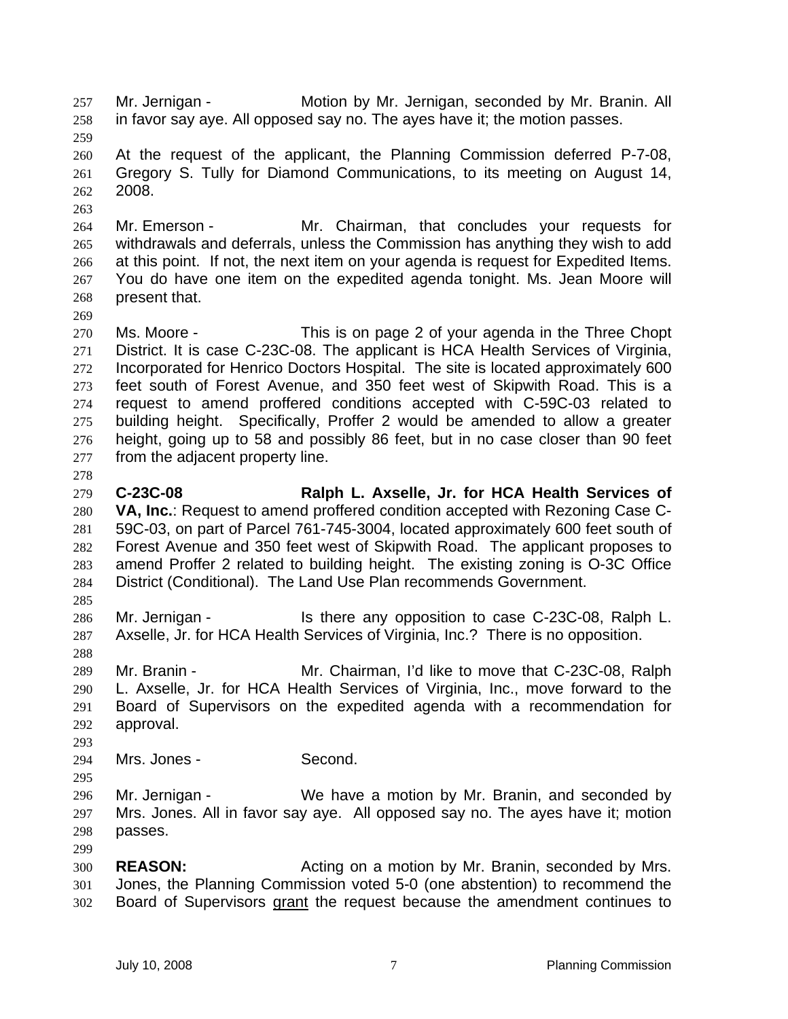Mr. Jernigan - Motion by Mr. Jernigan, seconded by Mr. Branin. All in favor say aye. All opposed say no. The ayes have it; the motion passes. 257 258 259 260 261 262 263 264 265 266 267 268 269 270 271 272 273 274 275 276 277 278 279 280 281 282 283 284 285 286 287 288 289 290 291 292 293 294 295 296 297 298 299 300 301 At the request of the applicant, the Planning Commission deferred P-7-08, Gregory S. Tully for Diamond Communications, to its meeting on August 14, 2008. Mr. Emerson - The Mr. Chairman, that concludes your requests for withdrawals and deferrals, unless the Commission has anything they wish to add at this point. If not, the next item on your agenda is request for Expedited Items. You do have one item on the expedited agenda tonight. Ms. Jean Moore will present that. Ms. Moore - This is on page 2 of your agenda in the Three Chopt District. It is case C-23C-08. The applicant is HCA Health Services of Virginia, Incorporated for Henrico Doctors Hospital. The site is located approximately 600 feet south of Forest Avenue, and 350 feet west of Skipwith Road. This is a request to amend proffered conditions accepted with C-59C-03 related to building height. Specifically, Proffer 2 would be amended to allow a greater height, going up to 58 and possibly 86 feet, but in no case closer than 90 feet from the adjacent property line. **C-23C-08 Ralph L. Axselle, Jr. for HCA Health Services of VA, Inc.**: Request to amend proffered condition accepted with Rezoning Case C-59C-03, on part of Parcel 761-745-3004, located approximately 600 feet south of Forest Avenue and 350 feet west of Skipwith Road. The applicant proposes to amend Proffer 2 related to building height. The existing zoning is O-3C Office District (Conditional). The Land Use Plan recommends Government. Mr. Jernigan - The Stephen any opposition to case C-23C-08, Ralph L. Axselle, Jr. for HCA Health Services of Virginia, Inc.? There is no opposition. Mr. Branin - Mr. Chairman, I'd like to move that C-23C-08, Ralph L. Axselle, Jr. for HCA Health Services of Virginia, Inc., move forward to the Board of Supervisors on the expedited agenda with a recommendation for approval. Mrs. Jones - Second. Mr. Jernigan - We have a motion by Mr. Branin, and seconded by Mrs. Jones. All in favor say aye. All opposed say no. The ayes have it; motion passes. **REASON:** Acting on a motion by Mr. Branin, seconded by Mrs. Jones, the Planning Commission voted 5-0 (one abstention) to recommend the 302 Board of Supervisors grant the request because the amendment continues to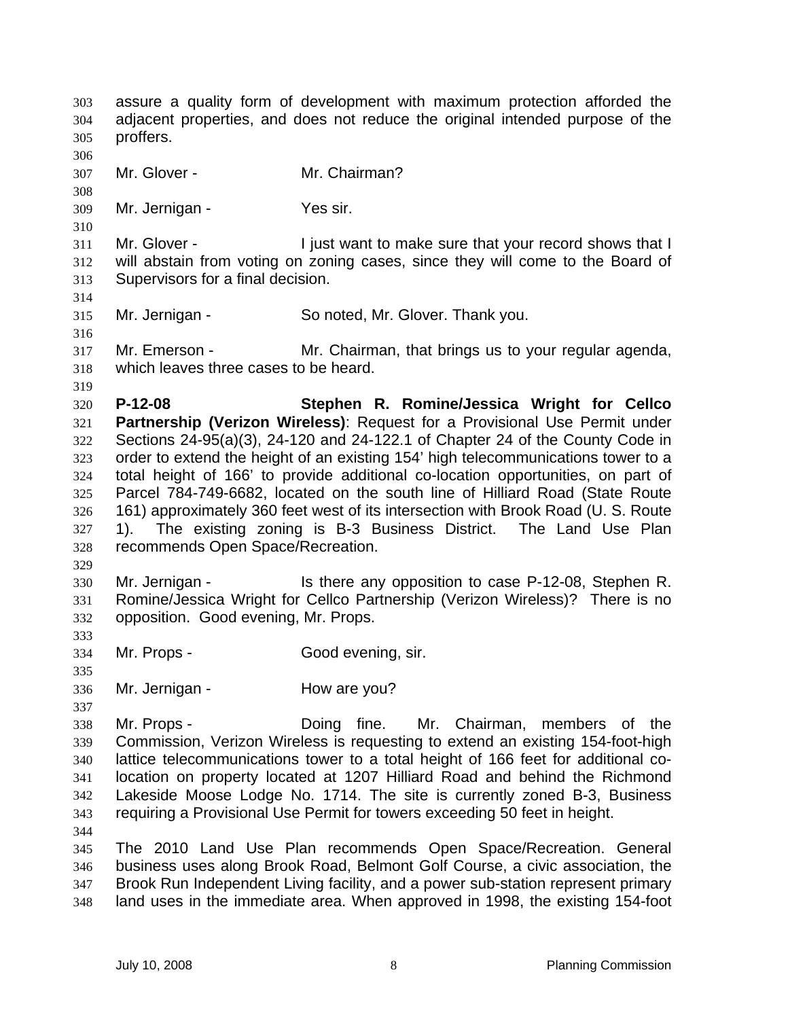assure a quality form of development with maximum protection afforded the adjacent properties, and does not reduce the original intended purpose of the proffers. 303 304 305 306 307 308 309 310 311 312 313 314 315 316 317 318 319 320 321 322 323 324 325 326 327 328 329 330 331 332 333 334 335 336 337 338 339 340 341 342 343 344 345 346 347 348 Mr. Glover - Mr. Chairman? Mr. Jernigan - Yes sir. Mr. Glover - Tiust want to make sure that your record shows that I will abstain from voting on zoning cases, since they will come to the Board of Supervisors for a final decision. Mr. Jernigan - So noted, Mr. Glover. Thank you. Mr. Emerson - Mr. Chairman, that brings us to your regular agenda, which leaves three cases to be heard. **P-12-08 Stephen R. Romine/Jessica Wright for Cellco Partnership (Verizon Wireless)**: Request for a Provisional Use Permit under Sections 24-95(a)(3), 24-120 and 24-122.1 of Chapter 24 of the County Code in order to extend the height of an existing 154' high telecommunications tower to a total height of 166' to provide additional co-location opportunities, on part of Parcel 784-749-6682, located on the south line of Hilliard Road (State Route 161) approximately 360 feet west of its intersection with Brook Road (U. S. Route 1). The existing zoning is B-3 Business District. The Land Use Plan recommends Open Space/Recreation. Mr. Jernigan - Is there any opposition to case P-12-08, Stephen R. Romine/Jessica Wright for Cellco Partnership (Verizon Wireless)? There is no opposition. Good evening, Mr. Props. Mr. Props - Good evening, sir. Mr. Jernigan - How are you? Mr. Props - Doing fine. Mr. Chairman, members of the Commission, Verizon Wireless is requesting to extend an existing 154-foot-high lattice telecommunications tower to a total height of 166 feet for additional colocation on property located at 1207 Hilliard Road and behind the Richmond Lakeside Moose Lodge No. 1714. The site is currently zoned B-3, Business requiring a Provisional Use Permit for towers exceeding 50 feet in height. The 2010 Land Use Plan recommends Open Space/Recreation. General business uses along Brook Road, Belmont Golf Course, a civic association, the Brook Run Independent Living facility, and a power sub-station represent primary land uses in the immediate area. When approved in 1998, the existing 154-foot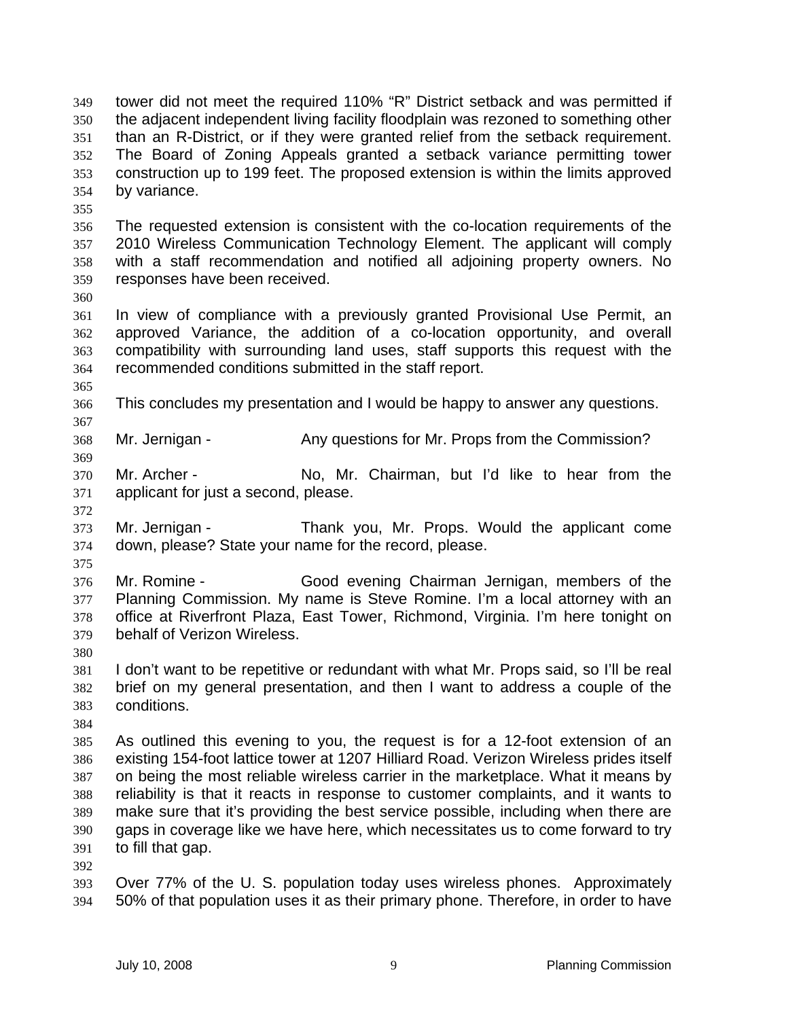tower did not meet the required 110% "R" District setback and was permitted if the adjacent independent living facility floodplain was rezoned to something other than an R-District, or if they were granted relief from the setback requirement. The Board of Zoning Appeals granted a setback variance permitting tower construction up to 199 feet. The proposed extension is within the limits approved by variance. 349 350 351 352 353 354

355

356 357 358 359 The requested extension is consistent with the co-location requirements of the 2010 Wireless Communication Technology Element. The applicant will comply with a staff recommendation and notified all adjoining property owners. No responses have been received.

360

365

367

369

372

361 362 363 364 In view of compliance with a previously granted Provisional Use Permit, an approved Variance, the addition of a co-location opportunity, and overall compatibility with surrounding land uses, staff supports this request with the recommended conditions submitted in the staff report.

366 This concludes my presentation and I would be happy to answer any questions.

368 Mr. Jernigan - Any questions for Mr. Props from the Commission?

370 371 Mr. Archer - No, Mr. Chairman, but I'd like to hear from the applicant for just a second, please.

373 374 Mr. Jernigan - Thank you, Mr. Props. Would the applicant come down, please? State your name for the record, please.

375

376 377 378 379 Mr. Romine - Good evening Chairman Jernigan, members of the Planning Commission. My name is Steve Romine. I'm a local attorney with an office at Riverfront Plaza, East Tower, Richmond, Virginia. I'm here tonight on behalf of Verizon Wireless.

380

381 382 383 I don't want to be repetitive or redundant with what Mr. Props said, so I'll be real brief on my general presentation, and then I want to address a couple of the conditions.

384

385 386 387 388 389 390 391 As outlined this evening to you, the request is for a 12-foot extension of an existing 154-foot lattice tower at 1207 Hilliard Road. Verizon Wireless prides itself on being the most reliable wireless carrier in the marketplace. What it means by reliability is that it reacts in response to customer complaints, and it wants to make sure that it's providing the best service possible, including when there are gaps in coverage like we have here, which necessitates us to come forward to try to fill that gap.

392

393 394 Over 77% of the U. S. population today uses wireless phones. Approximately 50% of that population uses it as their primary phone. Therefore, in order to have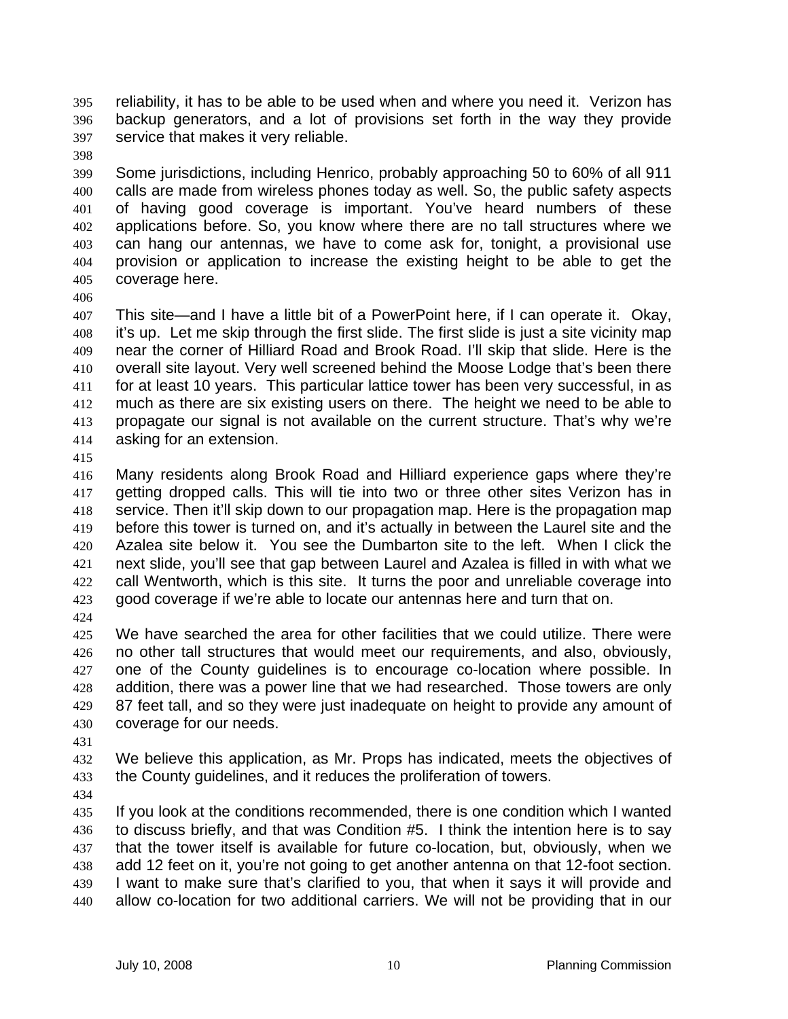reliability, it has to be able to be used when and where you need it. Verizon has backup generators, and a lot of provisions set forth in the way they provide service that makes it very reliable. 395 396 397

398

399 400 401 402 403 404 405 Some jurisdictions, including Henrico, probably approaching 50 to 60% of all 911 calls are made from wireless phones today as well. So, the public safety aspects of having good coverage is important. You've heard numbers of these applications before. So, you know where there are no tall structures where we can hang our antennas, we have to come ask for, tonight, a provisional use provision or application to increase the existing height to be able to get the coverage here.

406

407 408 409 410 411 412 413 414 This site—and I have a little bit of a PowerPoint here, if I can operate it. Okay, it's up. Let me skip through the first slide. The first slide is just a site vicinity map near the corner of Hilliard Road and Brook Road. I'll skip that slide. Here is the overall site layout. Very well screened behind the Moose Lodge that's been there for at least 10 years. This particular lattice tower has been very successful, in as much as there are six existing users on there. The height we need to be able to propagate our signal is not available on the current structure. That's why we're asking for an extension.

415

416 417 418 419 420 421 422 423 Many residents along Brook Road and Hilliard experience gaps where they're getting dropped calls. This will tie into two or three other sites Verizon has in service. Then it'll skip down to our propagation map. Here is the propagation map before this tower is turned on, and it's actually in between the Laurel site and the Azalea site below it. You see the Dumbarton site to the left. When I click the next slide, you'll see that gap between Laurel and Azalea is filled in with what we call Wentworth, which is this site. It turns the poor and unreliable coverage into good coverage if we're able to locate our antennas here and turn that on.

424

425 426 427 428 429 430 We have searched the area for other facilities that we could utilize. There were no other tall structures that would meet our requirements, and also, obviously, one of the County guidelines is to encourage co-location where possible. In addition, there was a power line that we had researched. Those towers are only 87 feet tall, and so they were just inadequate on height to provide any amount of coverage for our needs.

431

432 433 We believe this application, as Mr. Props has indicated, meets the objectives of the County guidelines, and it reduces the proliferation of towers.

434

435 436 437 438 439 440 If you look at the conditions recommended, there is one condition which I wanted to discuss briefly, and that was Condition #5. I think the intention here is to say that the tower itself is available for future co-location, but, obviously, when we add 12 feet on it, you're not going to get another antenna on that 12-foot section. I want to make sure that's clarified to you, that when it says it will provide and allow co-location for two additional carriers. We will not be providing that in our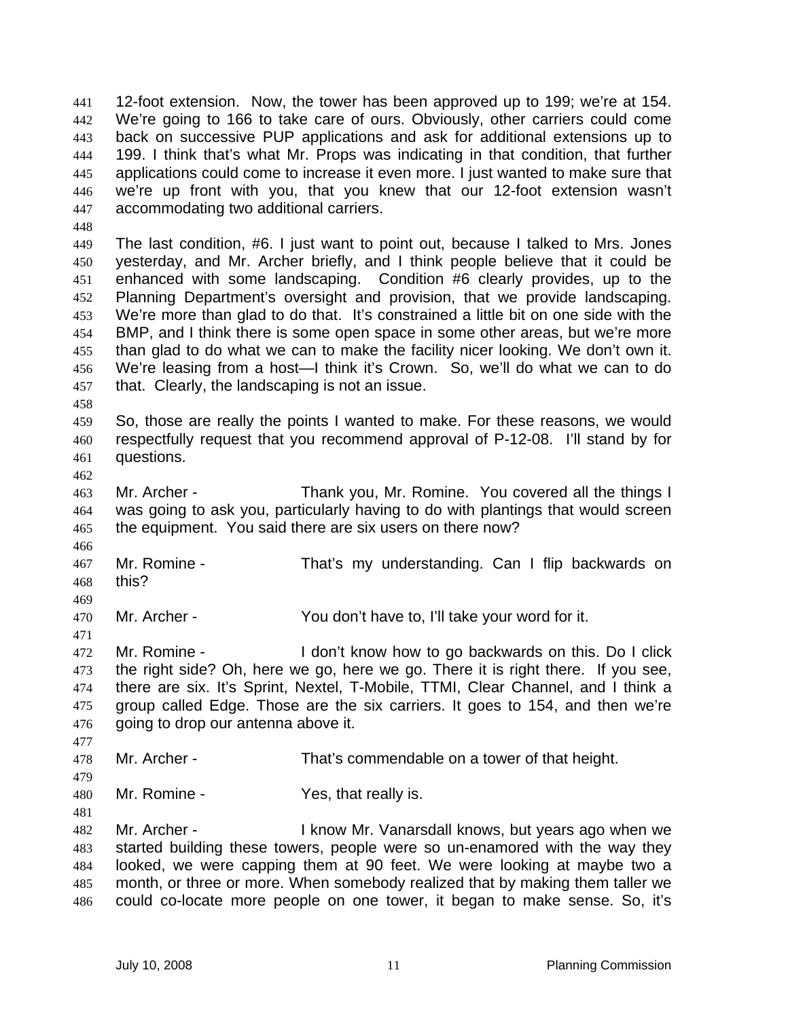12-foot extension. Now, the tower has been approved up to 199; we're at 154. We're going to 166 to take care of ours. Obviously, other carriers could come back on successive PUP applications and ask for additional extensions up to 199. I think that's what Mr. Props was indicating in that condition, that further applications could come to increase it even more. I just wanted to make sure that we're up front with you, that you knew that our 12-foot extension wasn't accommodating two additional carriers. 441 442 443 444 445 446 447

449 450 451 452 453 454 455 456 457 The last condition, #6. I just want to point out, because I talked to Mrs. Jones yesterday, and Mr. Archer briefly, and I think people believe that it could be enhanced with some landscaping. Condition #6 clearly provides, up to the Planning Department's oversight and provision, that we provide landscaping. We're more than glad to do that. It's constrained a little bit on one side with the BMP, and I think there is some open space in some other areas, but we're more than glad to do what we can to make the facility nicer looking. We don't own it. We're leasing from a host—I think it's Crown. So, we'll do what we can to do that. Clearly, the landscaping is not an issue.

458

462

466

469

471

477

479

481

448

459 460 461 So, those are really the points I wanted to make. For these reasons, we would respectfully request that you recommend approval of P-12-08. I'll stand by for questions.

463 464 465 Mr. Archer - Thank you, Mr. Romine. You covered all the things I was going to ask you, particularly having to do with plantings that would screen the equipment. You said there are six users on there now?

467 468 Mr. Romine - That's my understanding. Can I flip backwards on this?

470 Mr. Archer - You don't have to, I'll take your word for it.

472 473 474 475 476 Mr. Romine - I don't know how to go backwards on this. Do I click the right side? Oh, here we go, here we go. There it is right there. If you see, there are six. It's Sprint, Nextel, T-Mobile, TTMI, Clear Channel, and I think a group called Edge. Those are the six carriers. It goes to 154, and then we're going to drop our antenna above it.

478 Mr. Archer - That's commendable on a tower of that height.

480 Mr. Romine - The Yes, that really is.

482 483 484 485 486 Mr. Archer - I know Mr. Vanarsdall knows, but years ago when we started building these towers, people were so un-enamored with the way they looked, we were capping them at 90 feet. We were looking at maybe two a month, or three or more. When somebody realized that by making them taller we could co-locate more people on one tower, it began to make sense. So, it's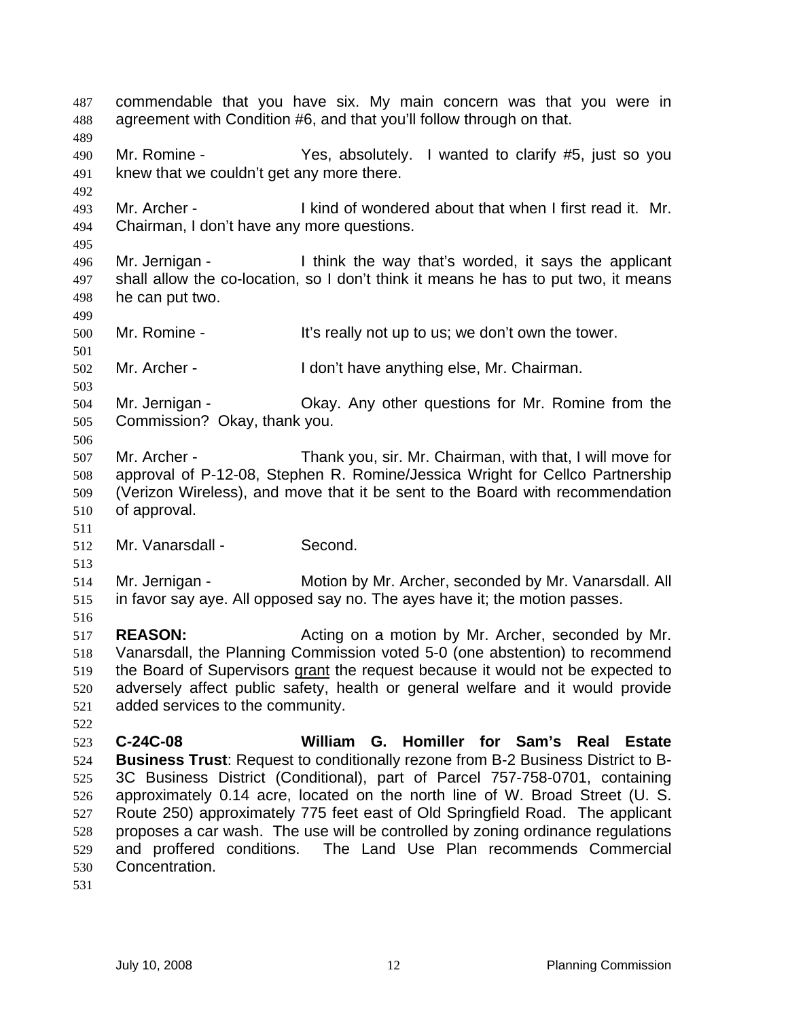commendable that you have six. My main concern was that you were in agreement with Condition #6, and that you'll follow through on that. 487 488 489 490 491 492 493 494 495 496 497 498 499 500 501 502 503 504 505 506 507 508 509 510 511 512 513 514 515 516 517 518 Mr. Romine - The Yes, absolutely. I wanted to clarify #5, just so you knew that we couldn't get any more there. Mr. Archer - I kind of wondered about that when I first read it. Mr. Chairman, I don't have any more questions. Mr. Jernigan - Think the way that's worded, it says the applicant shall allow the co-location, so I don't think it means he has to put two, it means he can put two. Mr. Romine - It's really not up to us; we don't own the tower. Mr. Archer - I don't have anything else, Mr. Chairman. Mr. Jernigan - Okay. Any other questions for Mr. Romine from the Commission? Okay, thank you. Mr. Archer - Thank you, sir. Mr. Chairman, with that, I will move for approval of P-12-08, Stephen R. Romine/Jessica Wright for Cellco Partnership (Verizon Wireless), and move that it be sent to the Board with recommendation of approval. Mr. Vanarsdall - Second. Mr. Jernigan - Motion by Mr. Archer, seconded by Mr. Vanarsdall. All in favor say aye. All opposed say no. The ayes have it; the motion passes. **REASON:** Acting on a motion by Mr. Archer, seconded by Mr. Vanarsdall, the Planning Commission voted 5-0 (one abstention) to recommend the Board of Supervisors grant the request because it would not be expected to adversely affect public safety, health or general welfare and it would provide added services to the community. 519 520 521 522 523 524 525 526 527 528 529 530 531 **C-24C-08 William G. Homiller for Sam's Real Estate Business Trust**: Request to conditionally rezone from B-2 Business District to B-3C Business District (Conditional), part of Parcel 757-758-0701, containing approximately 0.14 acre, located on the north line of W. Broad Street (U. S. Route 250) approximately 775 feet east of Old Springfield Road. The applicant proposes a car wash. The use will be controlled by zoning ordinance regulations and proffered conditions. The Land Use Plan recommends Commercial Concentration.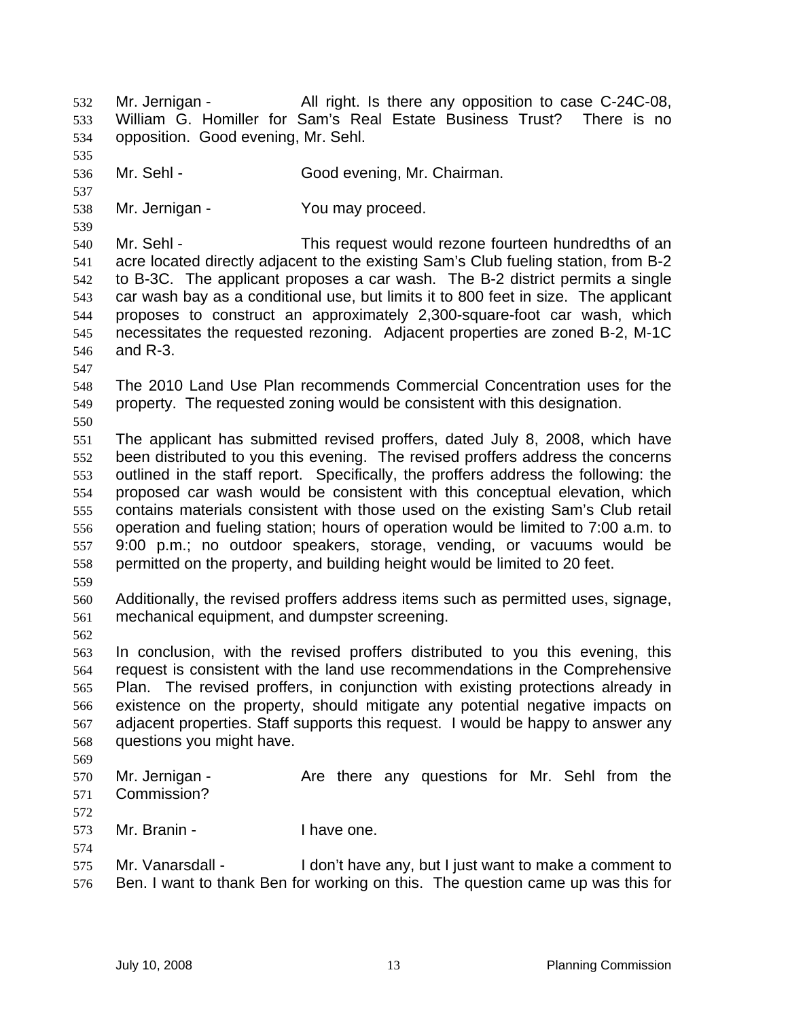Mr. Jernigan - The All right. Is there any opposition to case C-24C-08, William G. Homiller for Sam's Real Estate Business Trust? There is no opposition. Good evening, Mr. Sehl. 532 533 534 535 536 537 538 539 540 541 542 543 544 545 546 547 548 549 550 551 552 553 554 555 556 557 558 559 560 561 562 563 564 565 566 567 568 569 570 571 572 573 574 575 576 Mr. Sehl - Good evening, Mr. Chairman. Mr. Jernigan - You may proceed. Mr. Sehl - This request would rezone fourteen hundredths of an acre located directly adjacent to the existing Sam's Club fueling station, from B-2 to B-3C. The applicant proposes a car wash. The B-2 district permits a single car wash bay as a conditional use, but limits it to 800 feet in size. The applicant proposes to construct an approximately 2,300-square-foot car wash, which necessitates the requested rezoning. Adjacent properties are zoned B-2, M-1C and R-3. The 2010 Land Use Plan recommends Commercial Concentration uses for the property. The requested zoning would be consistent with this designation. The applicant has submitted revised proffers, dated July 8, 2008, which have been distributed to you this evening. The revised proffers address the concerns outlined in the staff report. Specifically, the proffers address the following: the proposed car wash would be consistent with this conceptual elevation, which contains materials consistent with those used on the existing Sam's Club retail operation and fueling station; hours of operation would be limited to 7:00 a.m. to 9:00 p.m.; no outdoor speakers, storage, vending, or vacuums would be permitted on the property, and building height would be limited to 20 feet. Additionally, the revised proffers address items such as permitted uses, signage, mechanical equipment, and dumpster screening. In conclusion, with the revised proffers distributed to you this evening, this request is consistent with the land use recommendations in the Comprehensive Plan. The revised proffers, in conjunction with existing protections already in existence on the property, should mitigate any potential negative impacts on adjacent properties. Staff supports this request. I would be happy to answer any questions you might have. Mr. Jernigan - The Are there any questions for Mr. Sehl from the Commission? Mr. Branin - Thave one. Mr. Vanarsdall - I don't have any, but I just want to make a comment to Ben. I want to thank Ben for working on this. The question came up was this for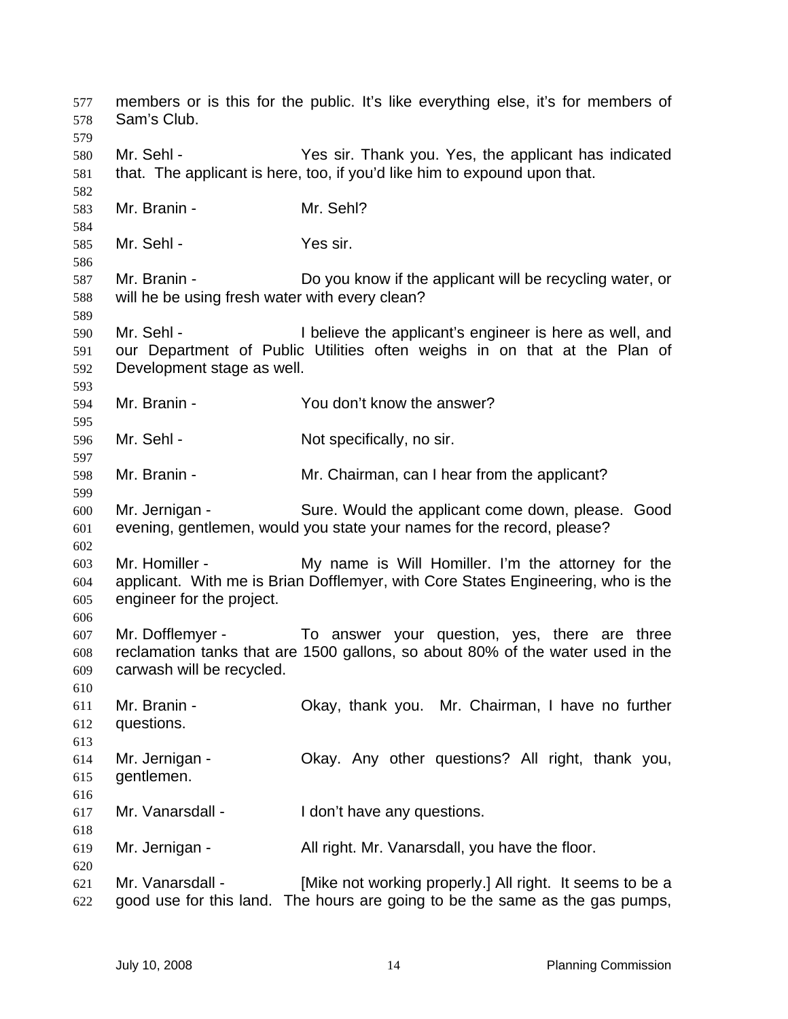members or is this for the public. It's like everything else, it's for members of Sam's Club. 577 578 579 580 581 582 583 584 585 586 587 588 589 590 591 592 593 594 595 596 597 598 599 600 601 602 603 604 605 606 607 608 609 610 611 612 613 614 615 616 617 618 619 620 621 622 Mr. Sehl - Yes sir. Thank you. Yes, the applicant has indicated that. The applicant is here, too, if you'd like him to expound upon that. Mr. Branin - Mr. Sehl? Mr. Sehl - Yes sir. Mr. Branin - Do you know if the applicant will be recycling water, or will he be using fresh water with every clean? Mr. Sehl - The I believe the applicant's engineer is here as well, and our Department of Public Utilities often weighs in on that at the Plan of Development stage as well. Mr. Branin - You don't know the answer? Mr. Sehl - Not specifically, no sir. Mr. Branin - Mr. Chairman, can I hear from the applicant? Mr. Jernigan - Sure. Would the applicant come down, please. Good evening, gentlemen, would you state your names for the record, please? Mr. Homiller - My name is Will Homiller. I'm the attorney for the applicant. With me is Brian Dofflemyer, with Core States Engineering, who is the engineer for the project. Mr. Dofflemyer - To answer your question, yes, there are three reclamation tanks that are 1500 gallons, so about 80% of the water used in the carwash will be recycled. Mr. Branin - Ckay, thank you. Mr. Chairman, I have no further questions. Mr. Jernigan - Ckay. Any other questions? All right, thank you, gentlemen. Mr. Vanarsdall - The I don't have any questions. Mr. Jernigan - All right. Mr. Vanarsdall, you have the floor. Mr. Vanarsdall - [Mike not working properly.] All right. It seems to be a good use for this land. The hours are going to be the same as the gas pumps,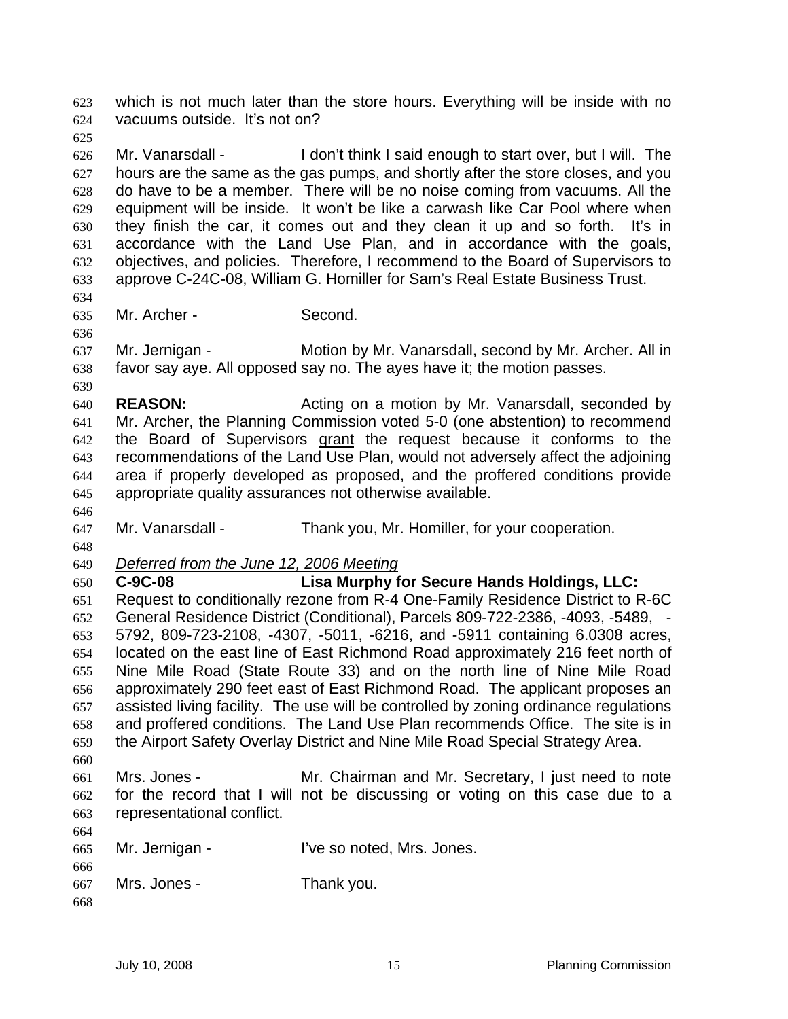which is not much later than the store hours. Everything will be inside with no vacuums outside. It's not on? 623 624

- 625 626 627 628 629 630 631 632 633 Mr. Vanarsdall - I don't think I said enough to start over, but I will. The hours are the same as the gas pumps, and shortly after the store closes, and you do have to be a member. There will be no noise coming from vacuums. All the equipment will be inside. It won't be like a carwash like Car Pool where when they finish the car, it comes out and they clean it up and so forth. It's in accordance with the Land Use Plan, and in accordance with the goals, objectives, and policies. Therefore, I recommend to the Board of Supervisors to approve C-24C-08, William G. Homiller for Sam's Real Estate Business Trust.
- 635 Mr. Archer - Second.

637 638 Mr. Jernigan - Motion by Mr. Vanarsdall, second by Mr. Archer. All in favor say aye. All opposed say no. The ayes have it; the motion passes.

- 640 641 **REASON:** Acting on a motion by Mr. Vanarsdall, seconded by Mr. Archer, the Planning Commission voted 5-0 (one abstention) to recommend the Board of Supervisors grant the request because it conforms to the recommendations of the Land Use Plan, would not adversely affect the adjoining area if properly developed as proposed, and the proffered conditions provide appropriate quality assurances not otherwise available. 642 643 644 645
- 646 647

634

636

639

Mr. Vanarsdall - Thank you, Mr. Homiller, for your cooperation.

648

649 *Deferred from the June 12, 2006 Meeting*

650 651 652 653 654 655 656 657 658 659 660 **C-9C-08 Lisa Murphy for Secure Hands Holdings, LLC:**  Request to conditionally rezone from R-4 One-Family Residence District to R-6C General Residence District (Conditional), Parcels 809-722-2386, -4093, -5489, - 5792, 809-723-2108, -4307, -5011, -6216, and -5911 containing 6.0308 acres, located on the east line of East Richmond Road approximately 216 feet north of Nine Mile Road (State Route 33) and on the north line of Nine Mile Road approximately 290 feet east of East Richmond Road. The applicant proposes an assisted living facility. The use will be controlled by zoning ordinance regulations and proffered conditions. The Land Use Plan recommends Office. The site is in the Airport Safety Overlay District and Nine Mile Road Special Strategy Area.

661 662 663 Mrs. Jones - Mr. Chairman and Mr. Secretary, I just need to note for the record that I will not be discussing or voting on this case due to a representational conflict.

| 665 | Mr. Jernigan - | I've so noted, Mrs. Jones. |
|-----|----------------|----------------------------|
| 666 |                |                            |

| 667 | Mrs. Jones - | Thank you. |
|-----|--------------|------------|
|-----|--------------|------------|

668

664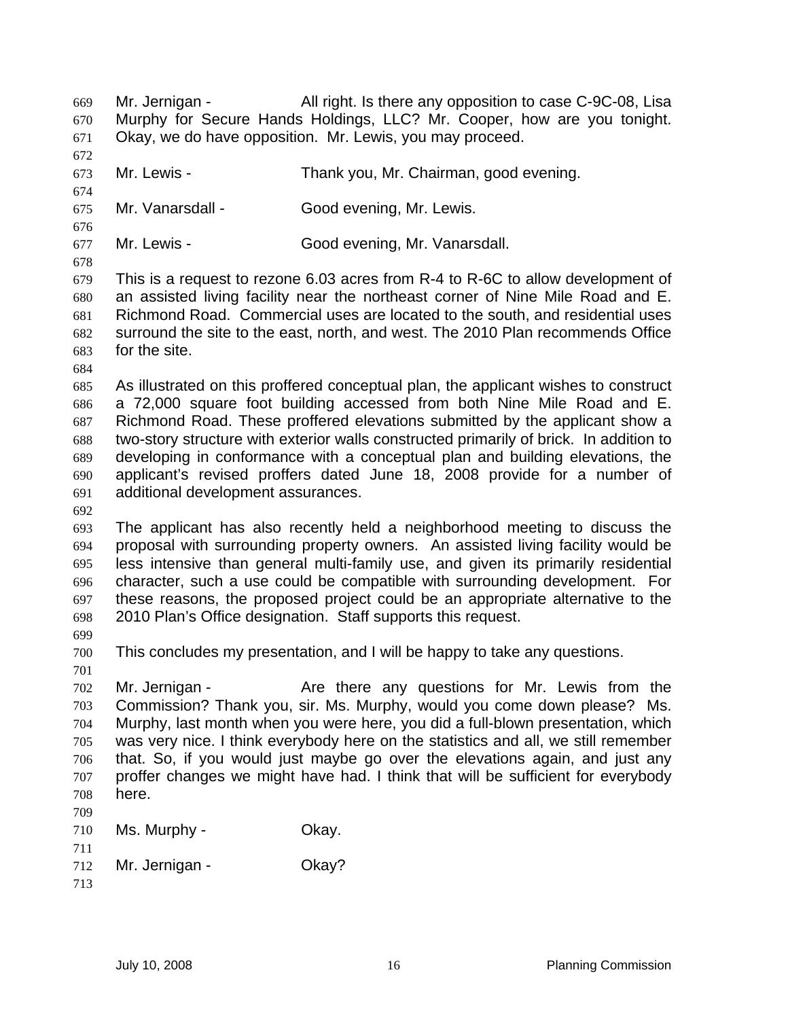Mr. Jernigan - All right. Is there any opposition to case C-9C-08, Lisa Murphy for Secure Hands Holdings, LLC? Mr. Cooper, how are you tonight. Okay, we do have opposition. Mr. Lewis, you may proceed. 669 670 671

672

676

673 674

675 Mr. Vanarsdall - Good evening, Mr. Lewis.

677 Mr. Lewis - Good evening, Mr. Vanarsdall.

678 679 680 681 682 683 This is a request to rezone 6.03 acres from R-4 to R-6C to allow development of an assisted living facility near the northeast corner of Nine Mile Road and E. Richmond Road. Commercial uses are located to the south, and residential uses surround the site to the east, north, and west. The 2010 Plan recommends Office for the site.

Mr. Lewis - Thank you, Mr. Chairman, good evening.

684

685 686 687 688 689 690 691 As illustrated on this proffered conceptual plan, the applicant wishes to construct a 72,000 square foot building accessed from both Nine Mile Road and E. Richmond Road. These proffered elevations submitted by the applicant show a two-story structure with exterior walls constructed primarily of brick. In addition to developing in conformance with a conceptual plan and building elevations, the applicant's revised proffers dated June 18, 2008 provide for a number of additional development assurances.

692

693 694 695 696 697 698 The applicant has also recently held a neighborhood meeting to discuss the proposal with surrounding property owners. An assisted living facility would be less intensive than general multi-family use, and given its primarily residential character, such a use could be compatible with surrounding development. For these reasons, the proposed project could be an appropriate alternative to the 2010 Plan's Office designation. Staff supports this request.

699

700 This concludes my presentation, and I will be happy to take any questions.

701

702 703 704 705 706 707 708 Mr. Jernigan - The Are there any questions for Mr. Lewis from the Commission? Thank you, sir. Ms. Murphy, would you come down please? Ms. Murphy, last month when you were here, you did a full-blown presentation, which was very nice. I think everybody here on the statistics and all, we still remember that. So, if you would just maybe go over the elevations again, and just any proffer changes we might have had. I think that will be sufficient for everybody here.

- 709 710 711 712 Ms. Murphy - Ckay. Mr. Jernigan - **Okay?**
- 713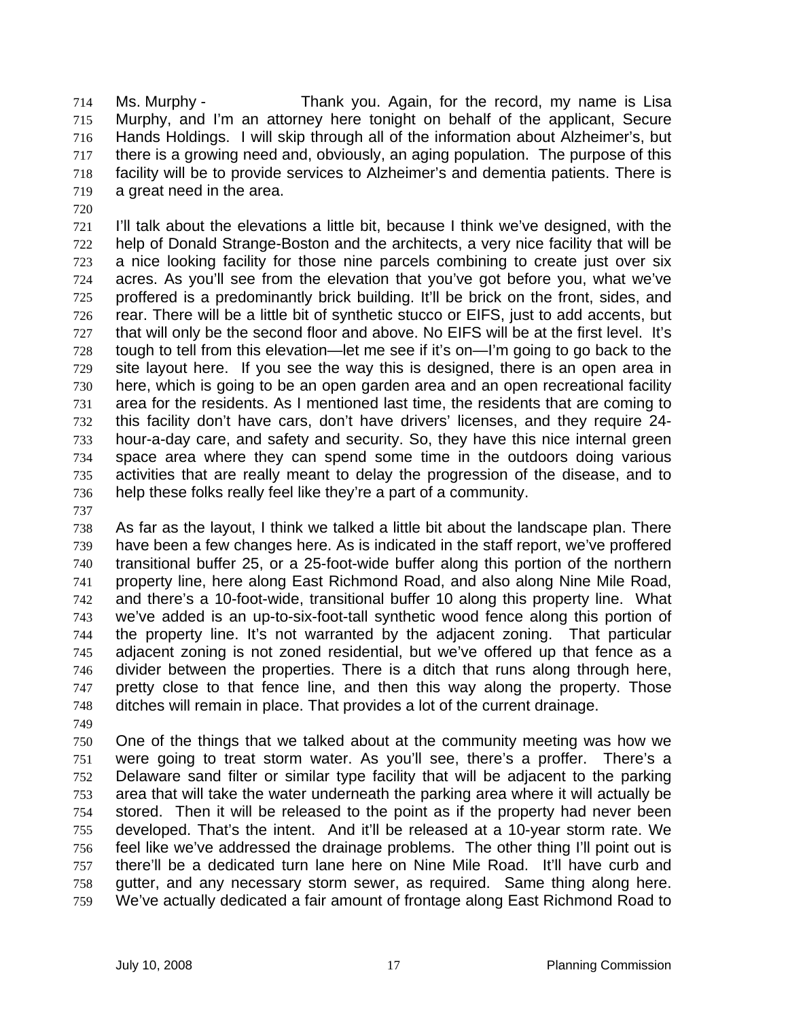Ms. Murphy - Thank you. Again, for the record, my name is Lisa Murphy, and I'm an attorney here tonight on behalf of the applicant, Secure Hands Holdings. I will skip through all of the information about Alzheimer's, but there is a growing need and, obviously, an aging population. The purpose of this facility will be to provide services to Alzheimer's and dementia patients. There is a great need in the area. 714 715 716 717 718 719

720

721 722 723 724 725 726 727 728 729 730 731 732 733 734 735 736 I'll talk about the elevations a little bit, because I think we've designed, with the help of Donald Strange-Boston and the architects, a very nice facility that will be a nice looking facility for those nine parcels combining to create just over six acres. As you'll see from the elevation that you've got before you, what we've proffered is a predominantly brick building. It'll be brick on the front, sides, and rear. There will be a little bit of synthetic stucco or EIFS, just to add accents, but that will only be the second floor and above. No EIFS will be at the first level. It's tough to tell from this elevation—let me see if it's on—I'm going to go back to the site layout here. If you see the way this is designed, there is an open area in here, which is going to be an open garden area and an open recreational facility area for the residents. As I mentioned last time, the residents that are coming to this facility don't have cars, don't have drivers' licenses, and they require 24 hour-a-day care, and safety and security. So, they have this nice internal green space area where they can spend some time in the outdoors doing various activities that are really meant to delay the progression of the disease, and to help these folks really feel like they're a part of a community.

737

738 739 740 741 742 743 744 745 746 747 748 As far as the layout, I think we talked a little bit about the landscape plan. There have been a few changes here. As is indicated in the staff report, we've proffered transitional buffer 25, or a 25-foot-wide buffer along this portion of the northern property line, here along East Richmond Road, and also along Nine Mile Road, and there's a 10-foot-wide, transitional buffer 10 along this property line. What we've added is an up-to-six-foot-tall synthetic wood fence along this portion of the property line. It's not warranted by the adjacent zoning. That particular adjacent zoning is not zoned residential, but we've offered up that fence as a divider between the properties. There is a ditch that runs along through here, pretty close to that fence line, and then this way along the property. Those ditches will remain in place. That provides a lot of the current drainage.

749

750 751 752 753 754 755 756 757 758 759 One of the things that we talked about at the community meeting was how we were going to treat storm water. As you'll see, there's a proffer. There's a Delaware sand filter or similar type facility that will be adjacent to the parking area that will take the water underneath the parking area where it will actually be stored. Then it will be released to the point as if the property had never been developed. That's the intent. And it'll be released at a 10-year storm rate. We feel like we've addressed the drainage problems. The other thing I'll point out is there'll be a dedicated turn lane here on Nine Mile Road. It'll have curb and gutter, and any necessary storm sewer, as required. Same thing along here. We've actually dedicated a fair amount of frontage along East Richmond Road to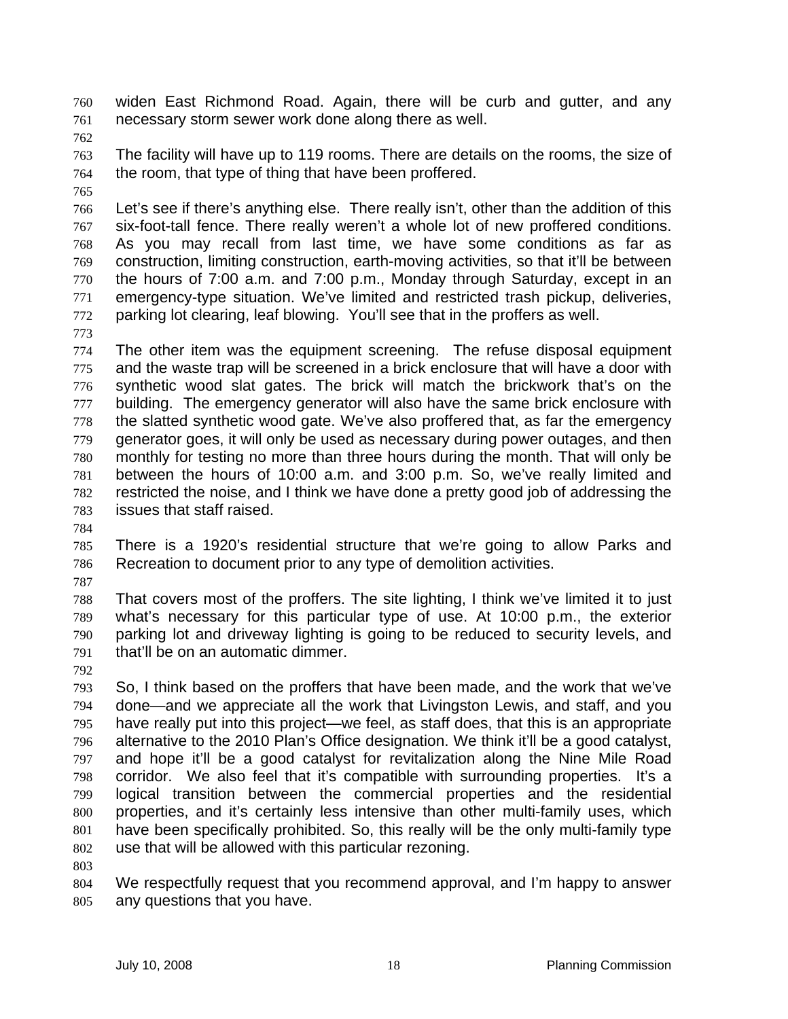widen East Richmond Road. Again, there will be curb and gutter, and any necessary storm sewer work done along there as well. 760 761

762

763 764 The facility will have up to 119 rooms. There are details on the rooms, the size of the room, that type of thing that have been proffered.

765

766 767 768 769 770 771 772 Let's see if there's anything else. There really isn't, other than the addition of this six-foot-tall fence. There really weren't a whole lot of new proffered conditions. As you may recall from last time, we have some conditions as far as construction, limiting construction, earth-moving activities, so that it'll be between the hours of 7:00 a.m. and 7:00 p.m., Monday through Saturday, except in an emergency-type situation. We've limited and restricted trash pickup, deliveries, parking lot clearing, leaf blowing. You'll see that in the proffers as well.

773

774 775 776 777 778 779 780 781 782 783 The other item was the equipment screening. The refuse disposal equipment and the waste trap will be screened in a brick enclosure that will have a door with synthetic wood slat gates. The brick will match the brickwork that's on the building. The emergency generator will also have the same brick enclosure with the slatted synthetic wood gate. We've also proffered that, as far the emergency generator goes, it will only be used as necessary during power outages, and then monthly for testing no more than three hours during the month. That will only be between the hours of 10:00 a.m. and 3:00 p.m. So, we've really limited and restricted the noise, and I think we have done a pretty good job of addressing the issues that staff raised.

784

785 786 There is a 1920's residential structure that we're going to allow Parks and Recreation to document prior to any type of demolition activities.

787

788 789 790 791 That covers most of the proffers. The site lighting, I think we've limited it to just what's necessary for this particular type of use. At 10:00 p.m., the exterior parking lot and driveway lighting is going to be reduced to security levels, and that'll be on an automatic dimmer.

792

793 794 795 796 797 798 799 800 801 802 So, I think based on the proffers that have been made, and the work that we've done—and we appreciate all the work that Livingston Lewis, and staff, and you have really put into this project—we feel, as staff does, that this is an appropriate alternative to the 2010 Plan's Office designation. We think it'll be a good catalyst, and hope it'll be a good catalyst for revitalization along the Nine Mile Road corridor. We also feel that it's compatible with surrounding properties. It's a logical transition between the commercial properties and the residential properties, and it's certainly less intensive than other multi-family uses, which have been specifically prohibited. So, this really will be the only multi-family type use that will be allowed with this particular rezoning.

803

804 805 We respectfully request that you recommend approval, and I'm happy to answer any questions that you have.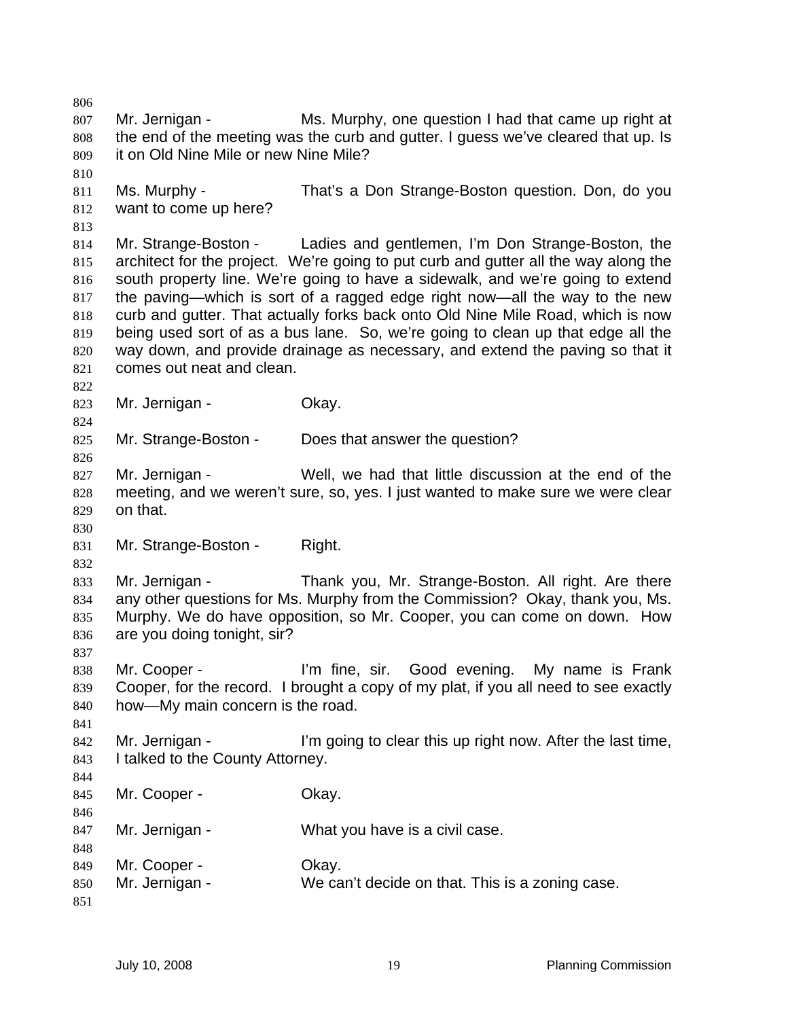806 807 808 809 810 811 812 813 814 815 816 817 818 819 820 821 822 823 824 825 826 827 828 829 830 831 832 833 834 835 836 837 838 839 840 841 842 843 844 845 846 847 848 849 850 851 Mr. Jernigan - Ms. Murphy, one question I had that came up right at the end of the meeting was the curb and gutter. I guess we've cleared that up. Is it on Old Nine Mile or new Nine Mile? Ms. Murphy - That's a Don Strange-Boston question. Don, do you want to come up here? Mr. Strange-Boston - Ladies and gentlemen, I'm Don Strange-Boston, the architect for the project. We're going to put curb and gutter all the way along the south property line. We're going to have a sidewalk, and we're going to extend the paving—which is sort of a ragged edge right now—all the way to the new curb and gutter. That actually forks back onto Old Nine Mile Road, which is now being used sort of as a bus lane. So, we're going to clean up that edge all the way down, and provide drainage as necessary, and extend the paving so that it comes out neat and clean. Mr. Jernigan - Ckay. Mr. Strange-Boston - Does that answer the question? Mr. Jernigan - Well, we had that little discussion at the end of the meeting, and we weren't sure, so, yes. I just wanted to make sure we were clear on that. Mr. Strange-Boston - Right. Mr. Jernigan - Thank you, Mr. Strange-Boston. All right. Are there any other questions for Ms. Murphy from the Commission? Okay, thank you, Ms. Murphy. We do have opposition, so Mr. Cooper, you can come on down. How are you doing tonight, sir? Mr. Cooper - I'm fine, sir. Good evening. My name is Frank Cooper, for the record. I brought a copy of my plat, if you all need to see exactly how—My main concern is the road. Mr. Jernigan - I'm going to clear this up right now. After the last time, I talked to the County Attorney. Mr. Cooper - Chav. Mr. Jernigan - What you have is a civil case. Mr. Cooper - Chav. Mr. Jernigan - We can't decide on that. This is a zoning case.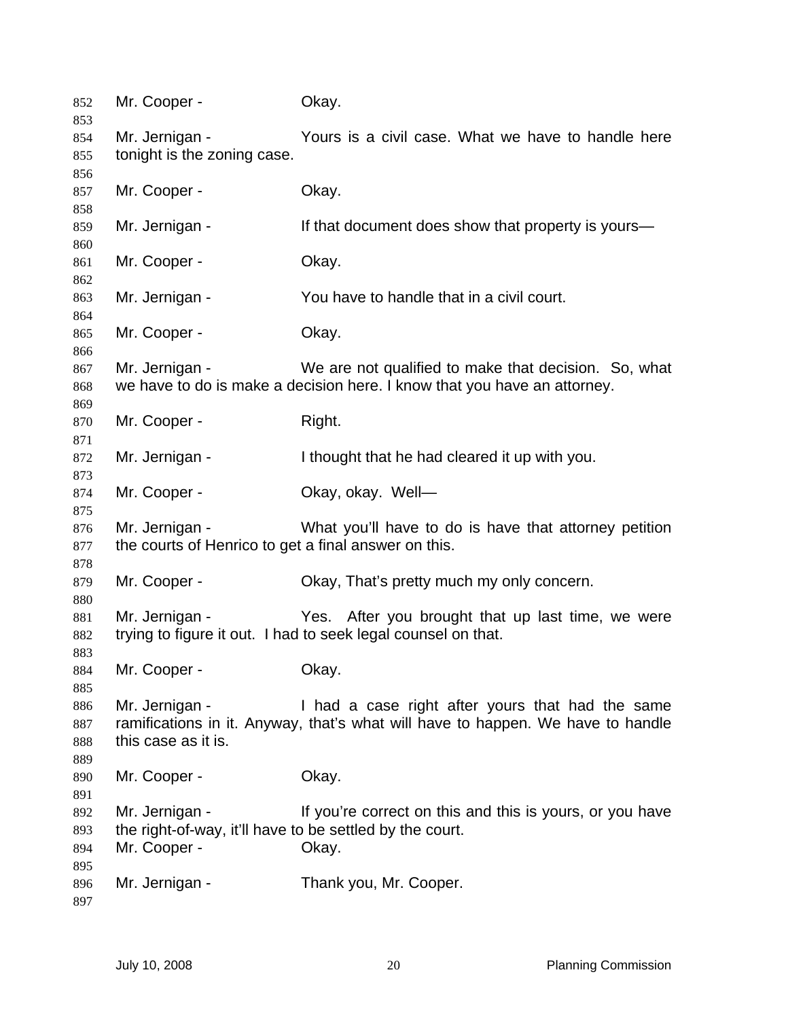| 852<br>853 | Mr. Cooper -                                                                    | Okay.                                                                    |  |
|------------|---------------------------------------------------------------------------------|--------------------------------------------------------------------------|--|
| 854        | Mr. Jernigan -                                                                  | Yours is a civil case. What we have to handle here                       |  |
| 855        | tonight is the zoning case.                                                     |                                                                          |  |
| 856        |                                                                                 |                                                                          |  |
| 857        | Mr. Cooper -                                                                    | Okay.                                                                    |  |
| 858        |                                                                                 |                                                                          |  |
| 859        | Mr. Jernigan -                                                                  | If that document does show that property is yours—                       |  |
| 860<br>861 | Mr. Cooper -                                                                    | Okay.                                                                    |  |
| 862        |                                                                                 |                                                                          |  |
| 863<br>864 | Mr. Jernigan -                                                                  | You have to handle that in a civil court.                                |  |
| 865        | Mr. Cooper -                                                                    | Okay.                                                                    |  |
| 866        |                                                                                 |                                                                          |  |
| 867        | Mr. Jernigan -                                                                  | We are not qualified to make that decision. So, what                     |  |
| 868        |                                                                                 | we have to do is make a decision here. I know that you have an attorney. |  |
| 869        |                                                                                 |                                                                          |  |
| 870        | Mr. Cooper -                                                                    | Right.                                                                   |  |
| 871        |                                                                                 |                                                                          |  |
| 872        | Mr. Jernigan -                                                                  | I thought that he had cleared it up with you.                            |  |
| 873        |                                                                                 |                                                                          |  |
| 874        | Mr. Cooper -                                                                    | Okay, okay. Well-                                                        |  |
| 875        |                                                                                 |                                                                          |  |
| 876        | Mr. Jernigan -                                                                  | What you'll have to do is have that attorney petition                    |  |
| 877        | the courts of Henrico to get a final answer on this.                            |                                                                          |  |
| 878        |                                                                                 |                                                                          |  |
| 879        | Mr. Cooper -                                                                    | Okay, That's pretty much my only concern.                                |  |
| 880        |                                                                                 |                                                                          |  |
| 881        | Mr. Jernigan -                                                                  | Yes. After you brought that up last time, we were                        |  |
|            |                                                                                 | trying to figure it out. I had to seek legal counsel on that.            |  |
| 882        |                                                                                 |                                                                          |  |
| 883        | Mr. Cooper -                                                                    | Okay.                                                                    |  |
| 884        |                                                                                 |                                                                          |  |
| 885        | Mr. Jernigan -                                                                  |                                                                          |  |
| 886        |                                                                                 | I had a case right after yours that had the same                         |  |
| 887        | ramifications in it. Anyway, that's what will have to happen. We have to handle |                                                                          |  |
| 888        | this case as it is.                                                             |                                                                          |  |
| 889        |                                                                                 |                                                                          |  |
| 890        | Mr. Cooper -                                                                    | Okay.                                                                    |  |
| 891        |                                                                                 |                                                                          |  |
| 892        | Mr. Jernigan -                                                                  | If you're correct on this and this is yours, or you have                 |  |
| 893        | the right-of-way, it'll have to be settled by the court.                        |                                                                          |  |
| 894        | Mr. Cooper -                                                                    | Okay.                                                                    |  |
| 895        |                                                                                 |                                                                          |  |
| 896        | Mr. Jernigan -                                                                  | Thank you, Mr. Cooper.                                                   |  |
| 897        |                                                                                 |                                                                          |  |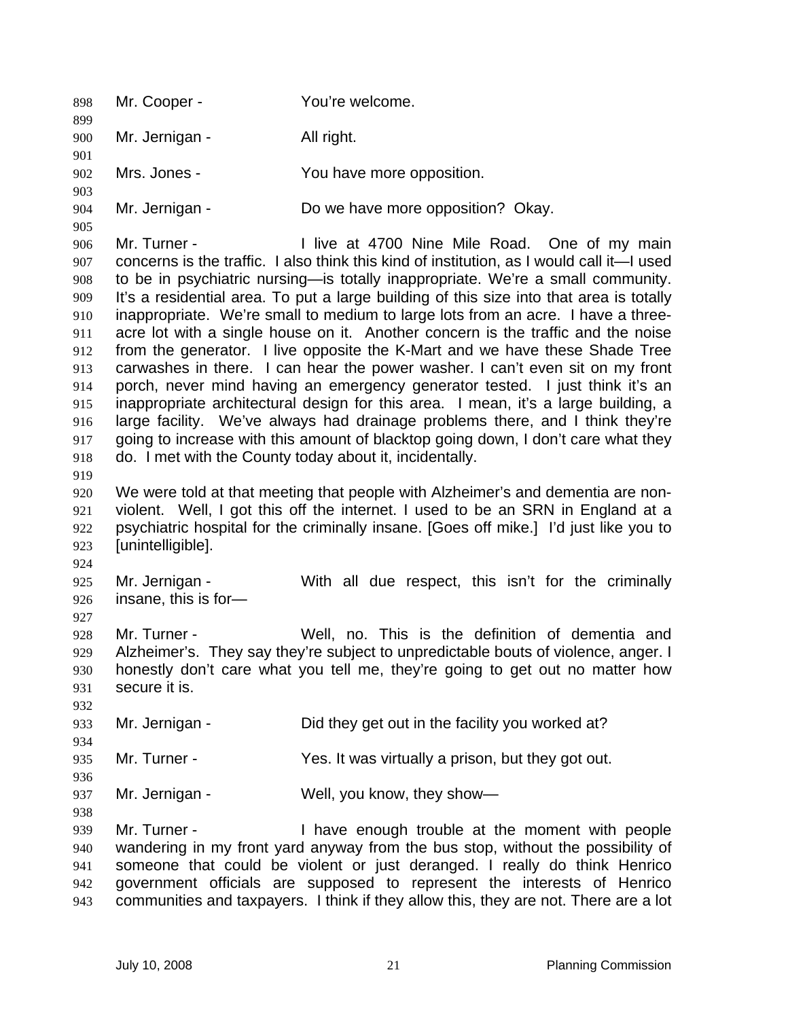898 Mr. Cooper - You're welcome. 899 900 901 902 903 904 905 906 907 908 909 910 911 912 913 914 915 916 917 918 919 920 921 922 923 924 925 926 927 928 929 930 931 932 933 934 935 936 937 938 939 940 941 942 943 Mr. Jernigan - All right. Mrs. Jones - The You have more opposition. Mr. Jernigan - Do we have more opposition? Okay. Mr. Turner - I live at 4700 Nine Mile Road. One of my main concerns is the traffic. I also think this kind of institution, as I would call it—I used to be in psychiatric nursing—is totally inappropriate. We're a small community. It's a residential area. To put a large building of this size into that area is totally inappropriate. We're small to medium to large lots from an acre. I have a threeacre lot with a single house on it. Another concern is the traffic and the noise from the generator. I live opposite the K-Mart and we have these Shade Tree carwashes in there. I can hear the power washer. I can't even sit on my front porch, never mind having an emergency generator tested. I just think it's an inappropriate architectural design for this area. I mean, it's a large building, a large facility. We've always had drainage problems there, and I think they're going to increase with this amount of blacktop going down, I don't care what they do. I met with the County today about it, incidentally. We were told at that meeting that people with Alzheimer's and dementia are nonviolent. Well, I got this off the internet. I used to be an SRN in England at a psychiatric hospital for the criminally insane. [Goes off mike.] I'd just like you to [unintelligible]. Mr. Jernigan - With all due respect, this isn't for the criminally insane, this is for— Mr. Turner - Well, no. This is the definition of dementia and Alzheimer's. They say they're subject to unpredictable bouts of violence, anger. I honestly don't care what you tell me, they're going to get out no matter how secure it is. Mr. Jernigan - Did they get out in the facility you worked at? Mr. Turner - The Yes. It was virtually a prison, but they got out. Mr. Jernigan - Well, you know, they show-Mr. Turner - Thave enough trouble at the moment with people wandering in my front yard anyway from the bus stop, without the possibility of someone that could be violent or just deranged. I really do think Henrico government officials are supposed to represent the interests of Henrico communities and taxpayers. I think if they allow this, they are not. There are a lot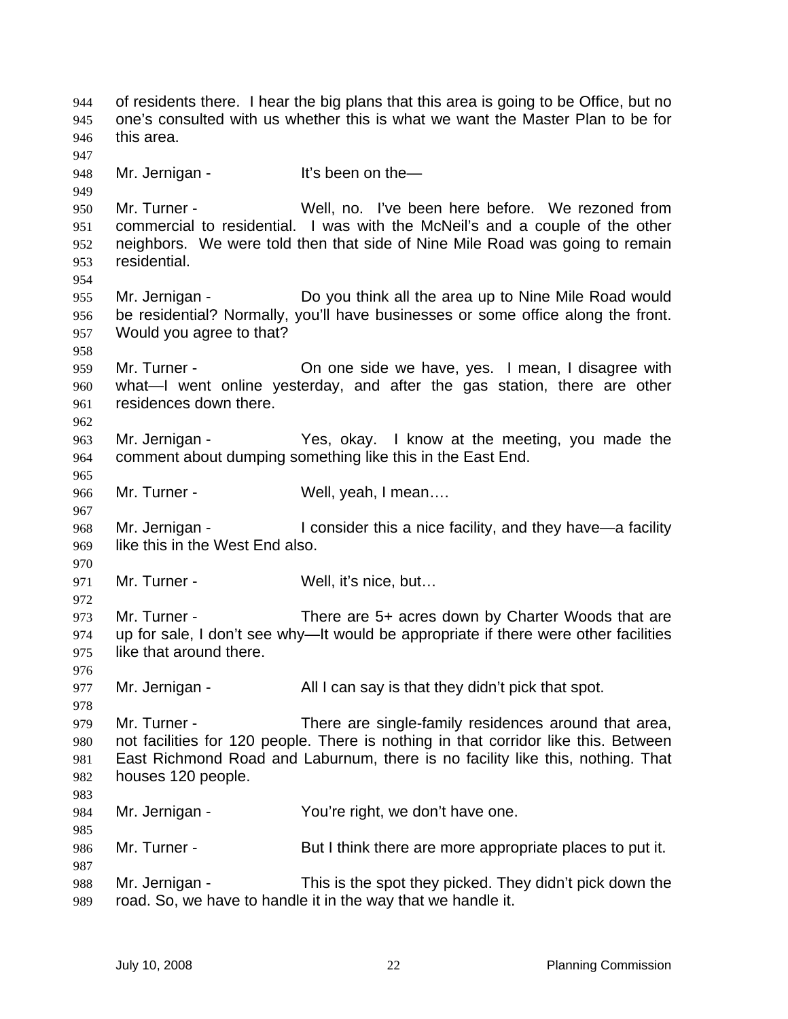of residents there. I hear the big plans that this area is going to be Office, but no one's consulted with us whether this is what we want the Master Plan to be for this area. 944 945 946 947 948 949 950 951 952 953 954 955 956 957 958 959 960 961 962 963 964 965 966 967 968 969 970 971 972 973 974 975 976 977 978 979 980 981 982 983 984 985 986 987 988 989 Mr. Jernigan - It's been on the— Mr. Turner - Well, no. I've been here before. We rezoned from commercial to residential. I was with the McNeil's and a couple of the other neighbors. We were told then that side of Nine Mile Road was going to remain residential. Mr. Jernigan - Do you think all the area up to Nine Mile Road would be residential? Normally, you'll have businesses or some office along the front. Would you agree to that? Mr. Turner - Chone side we have, yes. I mean, I disagree with what—I went online yesterday, and after the gas station, there are other residences down there. Mr. Jernigan - Yes, okay. I know at the meeting, you made the comment about dumping something like this in the East End. Mr. Turner - Well, yeah, I mean.... Mr. Jernigan - I consider this a nice facility, and they have—a facility like this in the West End also. Mr. Turner - Well, it's nice, but... Mr. Turner - There are 5+ acres down by Charter Woods that are up for sale, I don't see why—It would be appropriate if there were other facilities like that around there. Mr. Jernigan - All I can say is that they didn't pick that spot. Mr. Turner - There are single-family residences around that area, not facilities for 120 people. There is nothing in that corridor like this. Between East Richmond Road and Laburnum, there is no facility like this, nothing. That houses 120 people. Mr. Jernigan - You're right, we don't have one. Mr. Turner - But I think there are more appropriate places to put it. Mr. Jernigan - This is the spot they picked. They didn't pick down the road. So, we have to handle it in the way that we handle it.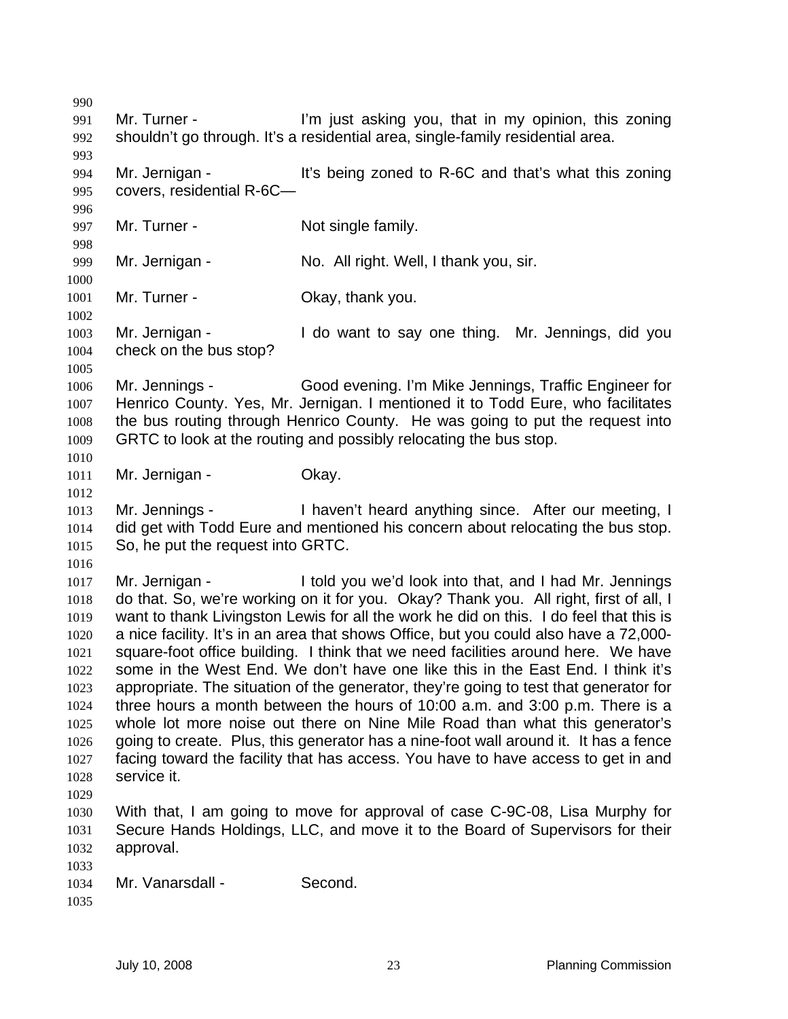990 991 992 993 994 995 996 997 998 999 1000 1001 1002 1003 1004 1005 1006 1007 1008 1009 1010 1011 1012 1013 1014 1015 1016 1017 1018 1019 1020 1021 1022 1023 1024 1025 1026 1027 1028 1029 1030 1031 1032 1033 1034 1035 Mr. Turner - The Text in Turner is a limit is a limit in the setting when the multiple is a limit of the multi shouldn't go through. It's a residential area, single-family residential area. Mr. Jernigan - It's being zoned to R-6C and that's what this zoning covers, residential R-6C— Mr. Turner - Not single family. Mr. Jernigan - No. All right. Well, I thank you, sir. Mr. Turner - Ckay, thank you. Mr. Jernigan - I do want to say one thing. Mr. Jennings, did you check on the bus stop? Mr. Jennings - Good evening. I'm Mike Jennings, Traffic Engineer for Henrico County. Yes, Mr. Jernigan. I mentioned it to Todd Eure, who facilitates the bus routing through Henrico County. He was going to put the request into GRTC to look at the routing and possibly relocating the bus stop. Mr. Jernigan - **Okay.** Mr. Jennings - Thaven't heard anything since. After our meeting, I did get with Todd Eure and mentioned his concern about relocating the bus stop. So, he put the request into GRTC. Mr. Jernigan - I told you we'd look into that, and I had Mr. Jennings do that. So, we're working on it for you. Okay? Thank you. All right, first of all, I want to thank Livingston Lewis for all the work he did on this. I do feel that this is a nice facility. It's in an area that shows Office, but you could also have a 72,000 square-foot office building. I think that we need facilities around here. We have some in the West End. We don't have one like this in the East End. I think it's appropriate. The situation of the generator, they're going to test that generator for three hours a month between the hours of 10:00 a.m. and 3:00 p.m. There is a whole lot more noise out there on Nine Mile Road than what this generator's going to create. Plus, this generator has a nine-foot wall around it. It has a fence facing toward the facility that has access. You have to have access to get in and service it. With that, I am going to move for approval of case C-9C-08, Lisa Murphy for Secure Hands Holdings, LLC, and move it to the Board of Supervisors for their approval. Mr. Vanarsdall - Second.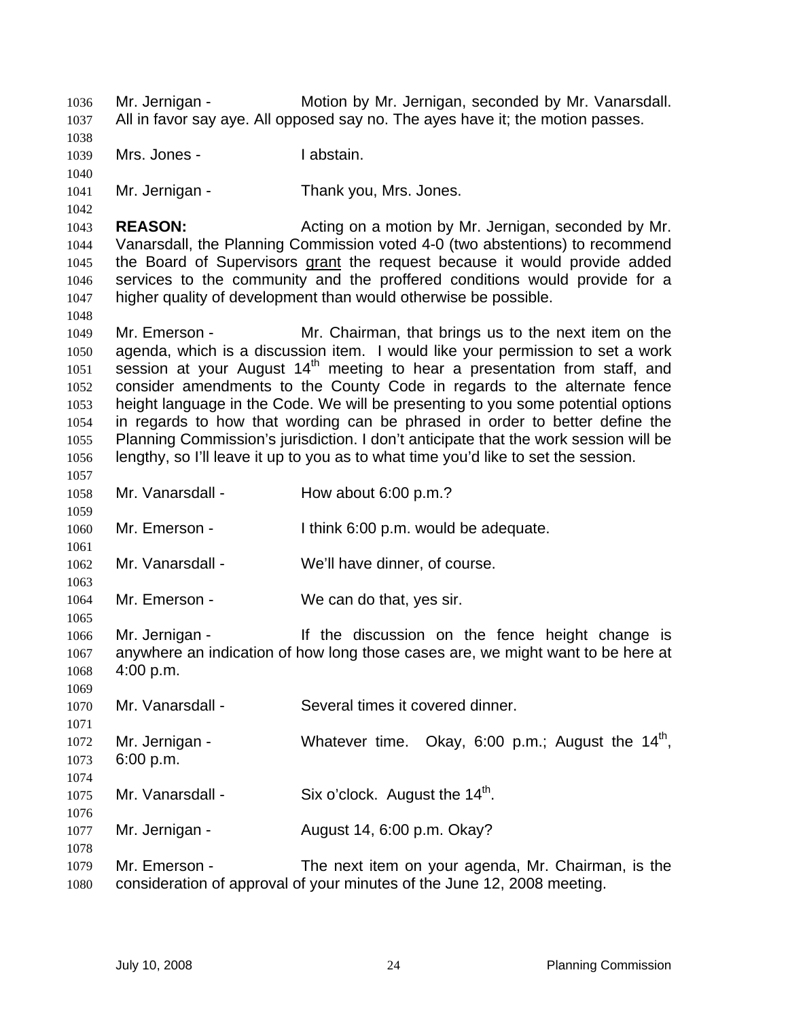Mr. Jernigan - Motion by Mr. Jernigan, seconded by Mr. Vanarsdall. All in favor say aye. All opposed say no. The ayes have it; the motion passes. 1036 1037 1038 1039 1040 1041 1042 1043 1044 Mrs. Jones - The Muslim I abstain. Mr. Jernigan - Thank you, Mrs. Jones. **REASON:** Acting on a motion by Mr. Jernigan, seconded by Mr. Vanarsdall, the Planning Commission voted 4-0 (two abstentions) to recommend the Board of Supervisors grant the request because it would provide added services to the community and the proffered conditions would provide for a higher quality of development than would otherwise be possible. 1045 1046 1047 1048 1049 1050 1051 1052 1053 1054 1055 1056 1057 1058 1059 1060 1061 1062 1063 1064 1065 1066 1067 1068 1069 1070 1071 1072 1073 1074 1075 1076 1077 1078 1079 1080 Mr. Emerson - Mr. Chairman, that brings us to the next item on the agenda, which is a discussion item. I would like your permission to set a work session at your August  $14<sup>th</sup>$  meeting to hear a presentation from staff, and consider amendments to the County Code in regards to the alternate fence height language in the Code. We will be presenting to you some potential options in regards to how that wording can be phrased in order to better define the Planning Commission's jurisdiction. I don't anticipate that the work session will be lengthy, so I'll leave it up to you as to what time you'd like to set the session. Mr. Vanarsdall - How about 6:00 p.m.? Mr. Emerson - I think 6:00 p.m. would be adequate. Mr. Vanarsdall - We'll have dinner, of course. Mr. Emerson - We can do that, yes sir. Mr. Jernigan - The discussion on the fence height change is anywhere an indication of how long those cases are, we might want to be here at 4:00 p.m. Mr. Vanarsdall - Several times it covered dinner. Mr. Jernigan - Whatever time. Okay, 6:00 p.m.; August the 14<sup>th</sup>, 6:00 p.m. Mr. Vanarsdall - Six o'clock. August the  $14<sup>th</sup>$ . Mr. Jernigan - August 14, 6:00 p.m. Okay? Mr. Emerson - The next item on your agenda, Mr. Chairman, is the consideration of approval of your minutes of the June 12, 2008 meeting.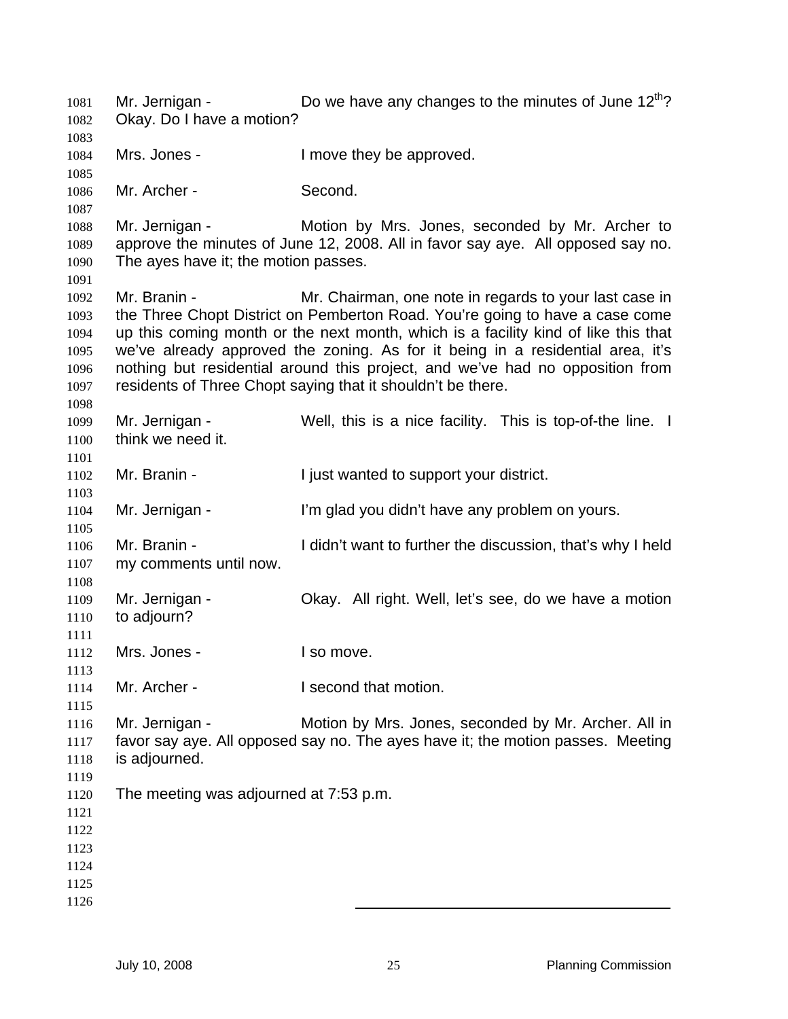Mr. Jernigan -  $\Box$  Do we have any changes to the minutes of June 12<sup>th</sup>? Okay. Do I have a motion? Mrs. Jones - I move they be approved. Mr. Archer - Second. Mr. Jernigan - The Motion by Mrs. Jones, seconded by Mr. Archer to approve the minutes of June 12, 2008. All in favor say aye. All opposed say no. The ayes have it; the motion passes. Mr. Branin - **Mr. Chairman, one note in regards to your last case in** the Three Chopt District on Pemberton Road. You're going to have a case come up this coming month or the next month, which is a facility kind of like this that we've already approved the zoning. As for it being in a residential area, it's nothing but residential around this project, and we've had no opposition from residents of Three Chopt saying that it shouldn't be there. Mr. Jernigan - Well, this is a nice facility. This is top-of-the line. I think we need it. Mr. Branin - Tiust wanted to support your district. Mr. Jernigan - The Same of The glad you didn't have any problem on yours. Mr. Branin - I didn't want to further the discussion, that's why I held my comments until now. Mr. Jernigan - Ckay. All right. Well, let's see, do we have a motion to adjourn? Mrs. Jones - I so move. Mr. Archer - The I second that motion. Mr. Jernigan - Motion by Mrs. Jones, seconded by Mr. Archer. All in favor say aye. All opposed say no. The ayes have it; the motion passes. Meeting is adjourned. The meeting was adjourned at 7:53 p.m.